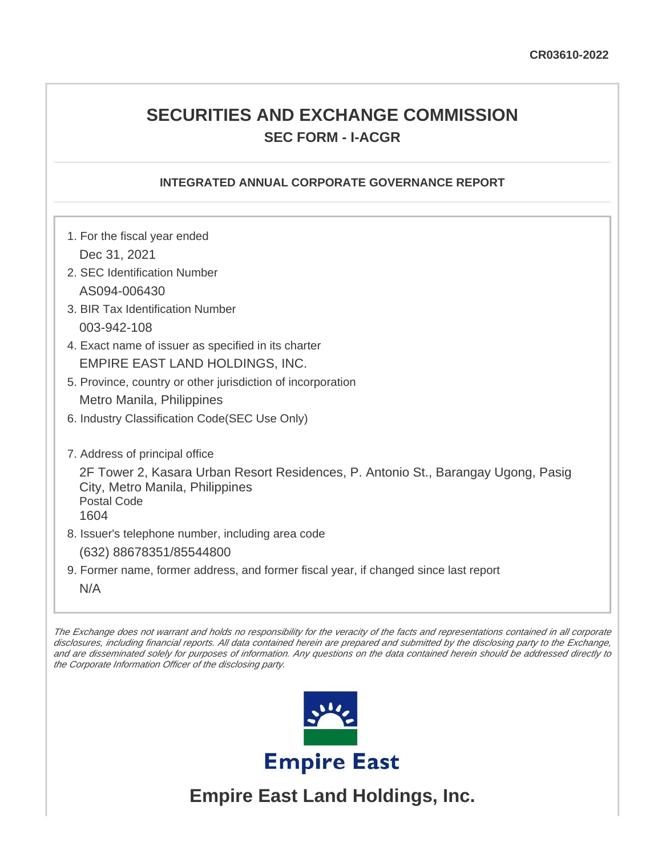# **SECURITIES AND EXCHANGE COMMISSION SEC FORM - I-ACGR**

## **INTEGRATED ANNUAL CORPORATE GOVERNANCE REPORT**

1. For the fiscal year ended Dec 31, 2021 2. SEC Identification Number AS094-006430 3. BIR Tax Identification Number 003-942-108 4. Exact name of issuer as specified in its charter EMPIRE EAST LAND HOLDINGS, INC. 5. Province, country or other jurisdiction of incorporation Metro Manila, Philippines 6. Industry Classification Code(SEC Use Only) 7. Address of principal office 2F Tower 2, Kasara Urban Resort Residences, P. Antonio St., Barangay Ugong, Pasig City, Metro Manila, Philippines Postal Code 1604 8. Issuer's telephone number, including area code (632) 88678351/85544800 9. Former name, former address, and former fiscal year, if changed since last report N/A

The Exchange does not warrant and holds no responsibility for the veracity of the facts and representations contained in all corporate disclosures, including financial reports. All data contained herein are prepared and submitted by the disclosing party to the Exchange, and are disseminated solely for purposes of information. Any questions on the data contained herein should be addressed directly to the Corporate Information Officer of the disclosing party.



**Empire East Land Holdings, Inc.**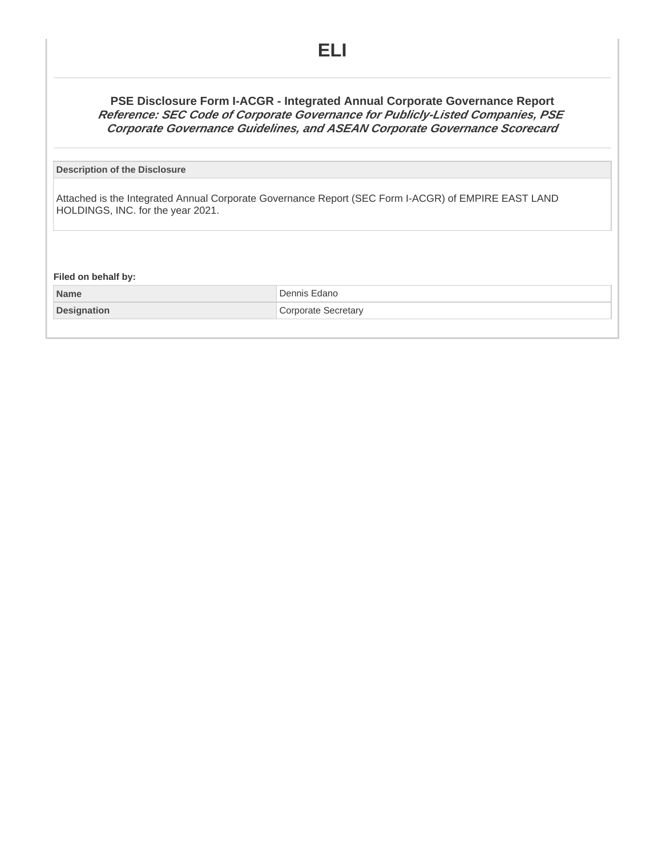## **PSE Disclosure Form I-ACGR - Integrated Annual Corporate Governance Report Reference: SEC Code of Corporate Governance for Publicly-Listed Companies, PSE Corporate Governance Guidelines, and ASEAN Corporate Governance Scorecard**

#### **Description of the Disclosure**

Attached is the Integrated Annual Corporate Governance Report (SEC Form I-ACGR) of EMPIRE EAST LAND HOLDINGS, INC. for the year 2021.

**Filed on behalf by:**

**Name** Dennis Edano **Designation Corporate Secretary**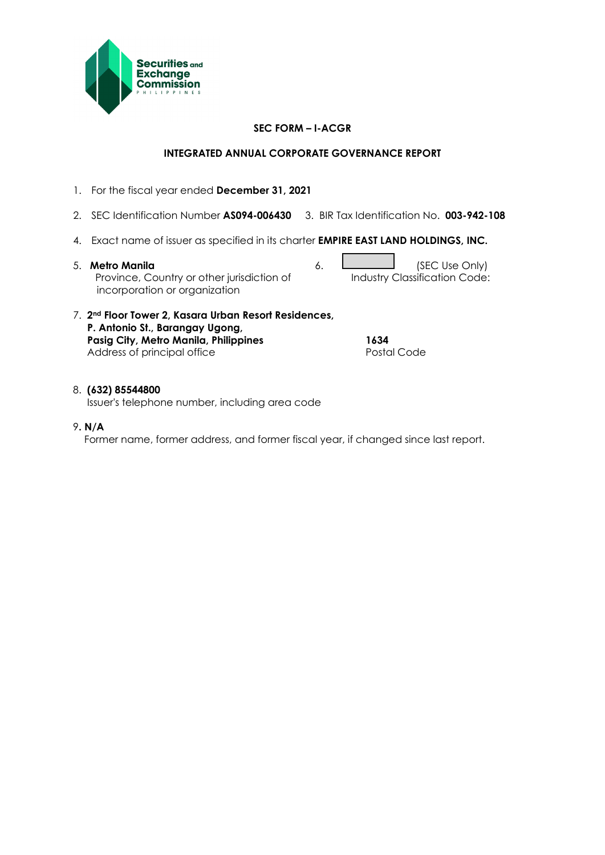

## **SEC FORM – I-ACGR**

## **INTEGRATED ANNUAL CORPORATE GOVERNANCE REPORT**

- 1. For the fiscal year ended **December 31, 2021**
- 2. SEC Identification Number **AS094-006430** 3. BIR Tax Identification No. **003-942-108**
- 4. Exact name of issuer as specified in its charter **EMPIRE EAST LAND HOLDINGS, INC.**
- 5. **Metro Manila** 6. **Constanting to the Conduct of SEC Use Only)**  Province, Country or other jurisdiction of incorporation or organization

Industry Classification Code:

7. **2nd Floor Tower 2, Kasara Urban Resort Residences, P. Antonio St., Barangay Ugong, Pasig City, Metro Manila, Philippines 1634** Address of principal office

### 8. **(632) 85544800**

Issuer's telephone number, including area code

9**. N/A**

Former name, former address, and former fiscal year, if changed since last report.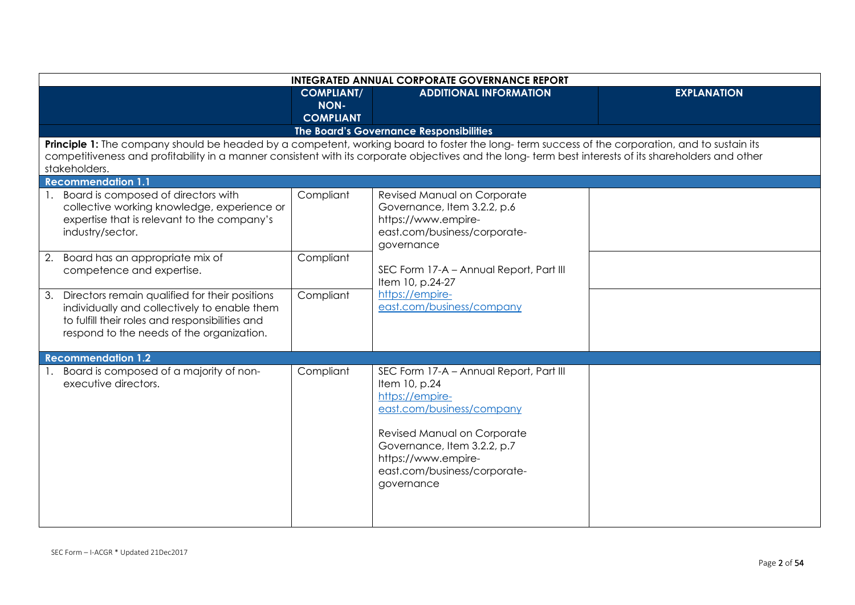| <b>INTEGRATED ANNUAL CORPORATE GOVERNANCE REPORT</b> |                                                                                                                                                                                                   |                                               |                                                                                                                                                                                                                                                                                                         |                    |
|------------------------------------------------------|---------------------------------------------------------------------------------------------------------------------------------------------------------------------------------------------------|-----------------------------------------------|---------------------------------------------------------------------------------------------------------------------------------------------------------------------------------------------------------------------------------------------------------------------------------------------------------|--------------------|
|                                                      |                                                                                                                                                                                                   | <b>COMPLIANT/</b><br>NON-<br><b>COMPLIANT</b> | <b>ADDITIONAL INFORMATION</b>                                                                                                                                                                                                                                                                           | <b>EXPLANATION</b> |
|                                                      |                                                                                                                                                                                                   |                                               | The Board's Governance Responsibilities                                                                                                                                                                                                                                                                 |                    |
| stakeholders.<br><b>Recommendation 1.1</b>           |                                                                                                                                                                                                   |                                               | Principle 1: The company should be headed by a competent, working board to foster the long-term success of the corporation, and to sustain its<br>competitiveness and profitability in a manner consistent with its corporate objectives and the long-term best interests of its shareholders and other |                    |
| industry/sector.                                     | 1. Board is composed of directors with<br>collective working knowledge, experience or<br>expertise that is relevant to the company's                                                              | Compliant                                     | Revised Manual on Corporate<br>Governance, Item 3.2.2, p.6<br>https://www.empire-<br>east.com/business/corporate-<br>governance                                                                                                                                                                         |                    |
|                                                      | 2. Board has an appropriate mix of<br>competence and expertise.                                                                                                                                   | Compliant                                     | SEC Form 17-A - Annual Report, Part III<br>Item 10, p.24-27                                                                                                                                                                                                                                             |                    |
|                                                      | 3. Directors remain qualified for their positions<br>individually and collectively to enable them<br>to fulfill their roles and responsibilities and<br>respond to the needs of the organization. | Compliant                                     | https://empire-<br>east.com/business/company                                                                                                                                                                                                                                                            |                    |
| <b>Recommendation 1.2</b>                            |                                                                                                                                                                                                   |                                               |                                                                                                                                                                                                                                                                                                         |                    |
| executive directors.                                 | 1. Board is composed of a majority of non-                                                                                                                                                        | Compliant                                     | SEC Form 17-A - Annual Report, Part III<br>Item 10, p.24<br>https://empire-<br>east.com/business/company<br>Revised Manual on Corporate<br>Governance, Item 3.2.2, p.7<br>https://www.empire-<br>east.com/business/corporate-<br>governance                                                             |                    |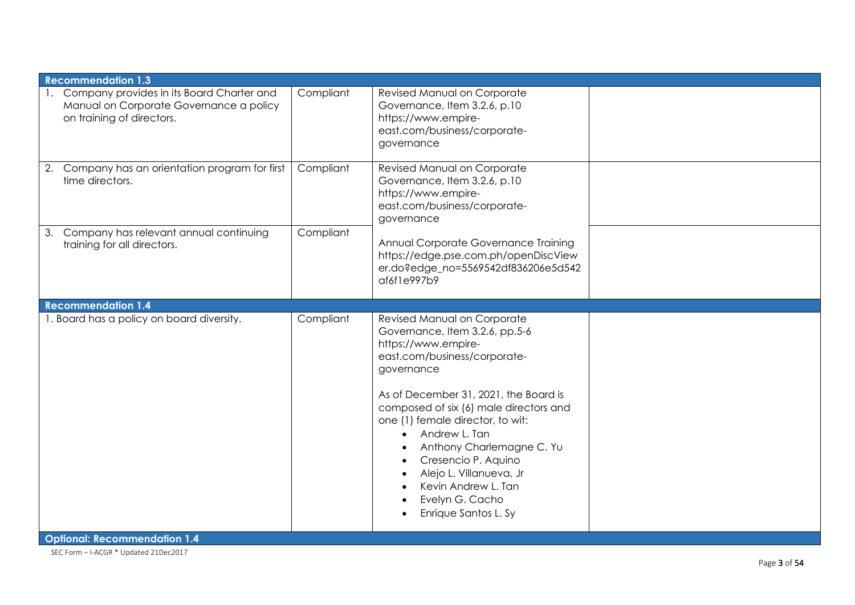| 1. Company provides in its Board Charter and<br>Compliant<br>Revised Manual on Corporate<br>Manual on Corporate Governance a policy<br>Governance, Item 3.2.6, p.10<br>on training of directors.<br>https://www.empire-<br>east.com/business/corporate-<br>governance<br>2. Company has an orientation program for first<br>Compliant<br>Revised Manual on Corporate<br>time directors.<br>Governance, Item 3.2.6, p.10<br>https://www.empire-<br>east.com/business/corporate-<br>governance<br>Compliant<br>3. Company has relevant annual continuing<br>Annual Corporate Governance Training<br>training for all directors.<br>https://edge.pse.com.ph/openDiscView<br>er.do?edge_no=5569542df836206e5d542<br>af6f1e997b9<br><b>Recommendation 1.4</b><br>1. Board has a policy on board diversity.<br>Compliant<br>Revised Manual on Corporate<br>Governance, Item 3.2.6, pp.5-6<br>https://www.empire-<br>east.com/business/corporate-<br>governance<br>As of December 31, 2021, the Board is<br>composed of six (6) male directors and<br>one (1) female director, to wit:<br>Andrew L. Tan<br>$\bullet$<br>Anthony Charlemagne C. Yu<br>Cresencio P. Aquino<br>Alejo L. Villanueva, Jr<br>Kevin Andrew L. Tan<br>Evelyn G. Cacho<br>Enrique Santos L. Sy | <b>Recommendation 1.3</b> |  |  |
|----------------------------------------------------------------------------------------------------------------------------------------------------------------------------------------------------------------------------------------------------------------------------------------------------------------------------------------------------------------------------------------------------------------------------------------------------------------------------------------------------------------------------------------------------------------------------------------------------------------------------------------------------------------------------------------------------------------------------------------------------------------------------------------------------------------------------------------------------------------------------------------------------------------------------------------------------------------------------------------------------------------------------------------------------------------------------------------------------------------------------------------------------------------------------------------------------------------------------------------------------------------|---------------------------|--|--|
|                                                                                                                                                                                                                                                                                                                                                                                                                                                                                                                                                                                                                                                                                                                                                                                                                                                                                                                                                                                                                                                                                                                                                                                                                                                                |                           |  |  |
|                                                                                                                                                                                                                                                                                                                                                                                                                                                                                                                                                                                                                                                                                                                                                                                                                                                                                                                                                                                                                                                                                                                                                                                                                                                                |                           |  |  |
|                                                                                                                                                                                                                                                                                                                                                                                                                                                                                                                                                                                                                                                                                                                                                                                                                                                                                                                                                                                                                                                                                                                                                                                                                                                                |                           |  |  |
|                                                                                                                                                                                                                                                                                                                                                                                                                                                                                                                                                                                                                                                                                                                                                                                                                                                                                                                                                                                                                                                                                                                                                                                                                                                                |                           |  |  |
| <b>Optional: Recommendation 1.4</b>                                                                                                                                                                                                                                                                                                                                                                                                                                                                                                                                                                                                                                                                                                                                                                                                                                                                                                                                                                                                                                                                                                                                                                                                                            |                           |  |  |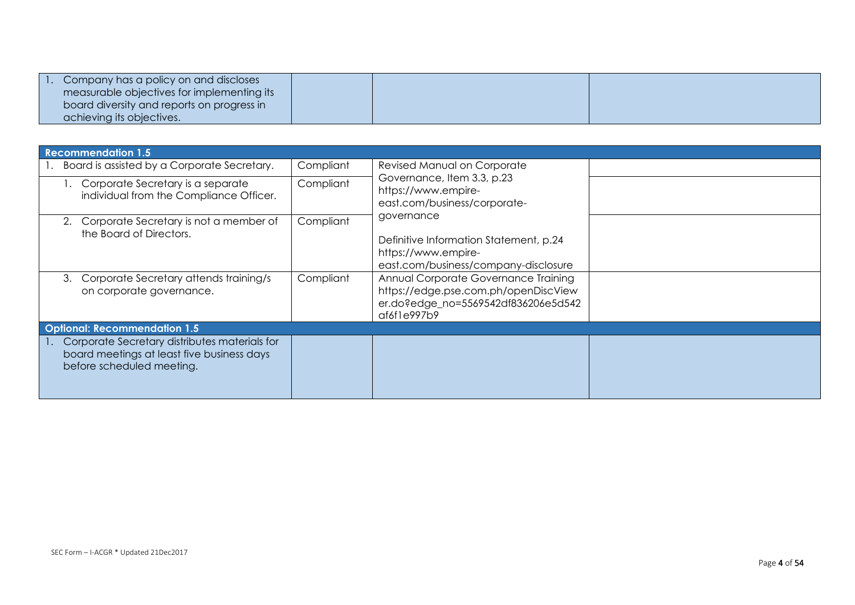| Company has a policy on and discloses      |  |  |
|--------------------------------------------|--|--|
| measurable objectives for implementing its |  |  |
| board diversity and reports on progress in |  |  |
| achieving its objectives.                  |  |  |

| <b>Recommendation 1.5</b>                                                                                                |           |                                                                                                                                    |  |
|--------------------------------------------------------------------------------------------------------------------------|-----------|------------------------------------------------------------------------------------------------------------------------------------|--|
| Board is assisted by a Corporate Secretary.                                                                              | Compliant | Revised Manual on Corporate<br>Governance, Item 3.3, p.23<br>https://www.empire-<br>east.com/business/corporate-                   |  |
| I. Corporate Secretary is a separate<br>individual from the Compliance Officer.                                          | Compliant |                                                                                                                                    |  |
| Corporate Secretary is not a member of<br>the Board of Directors.                                                        | Compliant | governance<br>Definitive Information Statement, p.24<br>https://www.empire-<br>east.com/business/company-disclosure                |  |
| Corporate Secretary attends training/s<br>3.<br>on corporate governance.                                                 | Compliant | Annual Corporate Governance Training<br>https://edge.pse.com.ph/openDiscView<br>er.do?edge_no=5569542df836206e5d542<br>af6f1e997b9 |  |
| <b>Optional: Recommendation 1.5</b>                                                                                      |           |                                                                                                                                    |  |
| Corporate Secretary distributes materials for<br>board meetings at least five business days<br>before scheduled meeting. |           |                                                                                                                                    |  |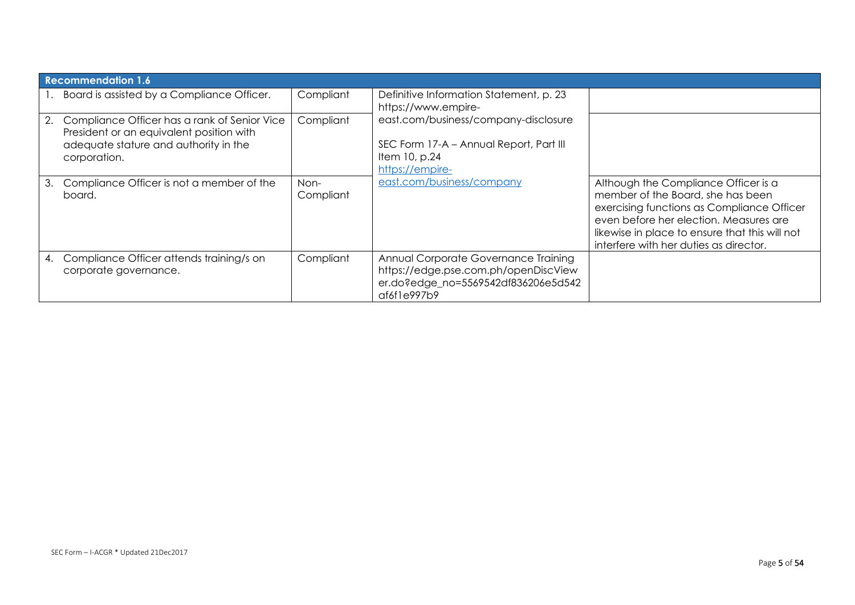|    | <b>Recommendation 1.6</b>                                                                                                                            |                   |                                                                                                                                    |                                                                                                                                                                                                                                                               |  |
|----|------------------------------------------------------------------------------------------------------------------------------------------------------|-------------------|------------------------------------------------------------------------------------------------------------------------------------|---------------------------------------------------------------------------------------------------------------------------------------------------------------------------------------------------------------------------------------------------------------|--|
|    | 1. Board is assisted by a Compliance Officer.                                                                                                        | Compliant         | Definitive Information Statement, p. 23<br>https://www.empire-                                                                     |                                                                                                                                                                                                                                                               |  |
|    | 2. Compliance Officer has a rank of Senior Vice<br>President or an equivalent position with<br>adequate stature and authority in the<br>corporation. | Compliant         | east.com/business/company-disclosure<br>SEC Form 17-A - Annual Report, Part III<br>Item 10, p.24<br>https://empire-                |                                                                                                                                                                                                                                                               |  |
| 3. | Compliance Officer is not a member of the<br>board.                                                                                                  | Non-<br>Compliant | east.com/business/company                                                                                                          | Although the Compliance Officer is a<br>member of the Board, she has been<br>exercising functions as Compliance Officer<br>even before her election. Measures are<br>likewise in place to ensure that this will not<br>interfere with her duties as director. |  |
| 4. | Compliance Officer attends training/s on<br>corporate governance.                                                                                    | Compliant         | Annual Corporate Governance Training<br>https://edge.pse.com.ph/openDiscView<br>er.do?edge_no=5569542df836206e5d542<br>af6f1e997b9 |                                                                                                                                                                                                                                                               |  |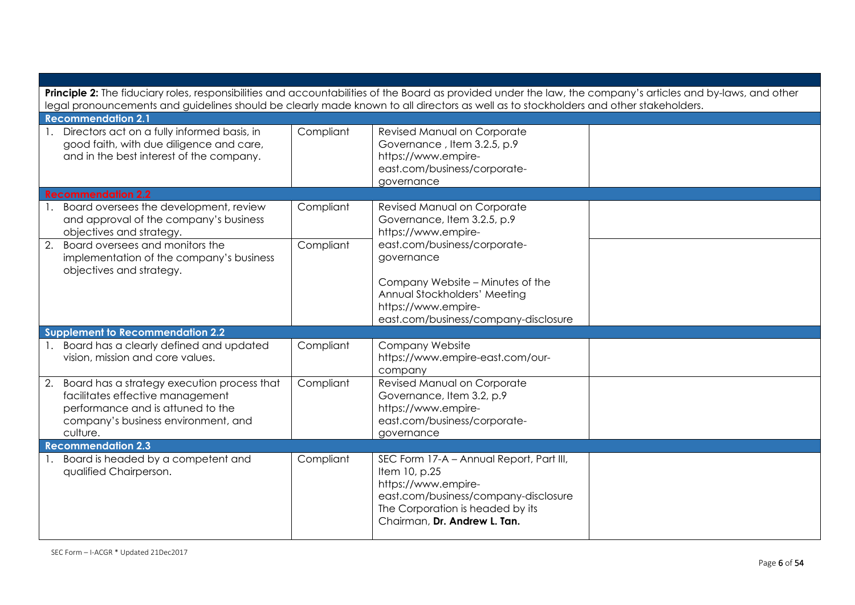| Principle 2: The fiduciary roles, responsibilities and accountabilities of the Board as provided under the law, the company's articles and by-laws, and other              |           |                                                                                                                                                                                              |  |  |
|----------------------------------------------------------------------------------------------------------------------------------------------------------------------------|-----------|----------------------------------------------------------------------------------------------------------------------------------------------------------------------------------------------|--|--|
| legal pronouncements and guidelines should be clearly made known to all directors as well as to stockholders and other stakeholders.                                       |           |                                                                                                                                                                                              |  |  |
| <b>Recommendation 2.1</b><br>1. Directors act on a fully informed basis, in<br>good faith, with due diligence and care,<br>and in the best interest of the company.        | Compliant | Revised Manual on Corporate<br>Governance, Item 3.2.5, p.9<br>https://www.empire-<br>east.com/business/corporate-<br>governance                                                              |  |  |
| <b>Recommendation 2.2</b>                                                                                                                                                  |           |                                                                                                                                                                                              |  |  |
| 1. Board oversees the development, review<br>and approval of the company's business<br>objectives and strategy.                                                            | Compliant | Revised Manual on Corporate<br>Governance, Item 3.2.5, p.9<br>https://www.empire-                                                                                                            |  |  |
| 2. Board oversees and monitors the<br>implementation of the company's business<br>objectives and strategy.                                                                 | Compliant | east.com/business/corporate-<br>governance<br>Company Website - Minutes of the                                                                                                               |  |  |
|                                                                                                                                                                            |           | Annual Stockholders' Meeting<br>https://www.empire-<br>east.com/business/company-disclosure                                                                                                  |  |  |
| Supplement to Recommendation 2.2                                                                                                                                           |           |                                                                                                                                                                                              |  |  |
| 1. Board has a clearly defined and updated<br>vision, mission and core values.                                                                                             | Compliant | Company Website<br>https://www.empire-east.com/our-<br>company                                                                                                                               |  |  |
| 2. Board has a strategy execution process that<br>facilitates effective management<br>performance and is attuned to the<br>company's business environment, and<br>culture. | Compliant | Revised Manual on Corporate<br>Governance, Item 3.2, p.9<br>https://www.empire-<br>east.com/business/corporate-<br>governance                                                                |  |  |
| <b>Recommendation 2.3</b>                                                                                                                                                  |           |                                                                                                                                                                                              |  |  |
| Board is headed by a competent and<br>qualified Chairperson.                                                                                                               | Compliant | SEC Form 17-A - Annual Report, Part III,<br>Item 10, p.25<br>https://www.empire-<br>east.com/business/company-disclosure<br>The Corporation is headed by its<br>Chairman, Dr. Andrew L. Tan. |  |  |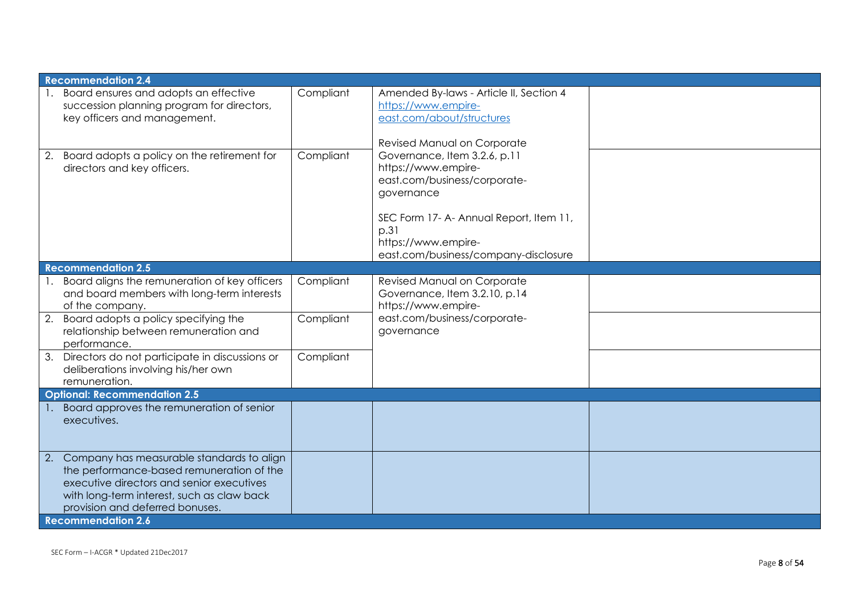|    | <b>Recommendation 2.4</b>                                                                                                                                                                                               |           |                                                                                                                                                                                                                     |  |
|----|-------------------------------------------------------------------------------------------------------------------------------------------------------------------------------------------------------------------------|-----------|---------------------------------------------------------------------------------------------------------------------------------------------------------------------------------------------------------------------|--|
|    | Board ensures and adopts an effective<br>succession planning program for directors,<br>key officers and management.                                                                                                     | Compliant | Amended By-laws - Article II, Section 4<br>https://www.empire-<br>east.com/about/structures<br>Revised Manual on Corporate                                                                                          |  |
| 2. | Board adopts a policy on the retirement for<br>directors and key officers.                                                                                                                                              | Compliant | Governance, Item 3.2.6, p.11<br>https://www.empire-<br>east.com/business/corporate-<br>governance<br>SEC Form 17- A- Annual Report, Item 11,<br>p.31<br>https://www.empire-<br>east.com/business/company-disclosure |  |
|    | <b>Recommendation 2.5</b>                                                                                                                                                                                               |           |                                                                                                                                                                                                                     |  |
|    | Board aligns the remuneration of key officers<br>and board members with long-term interests<br>of the company.                                                                                                          | Compliant | Revised Manual on Corporate<br>Governance, Item 3.2.10, p.14<br>https://www.empire-                                                                                                                                 |  |
|    | 2. Board adopts a policy specifying the<br>relationship between remuneration and<br>performance.                                                                                                                        | Compliant | east.com/business/corporate-<br>governance                                                                                                                                                                          |  |
|    | 3. Directors do not participate in discussions or<br>deliberations involving his/her own<br>remuneration.                                                                                                               | Compliant |                                                                                                                                                                                                                     |  |
|    | <b>Optional: Recommendation 2.5</b>                                                                                                                                                                                     |           |                                                                                                                                                                                                                     |  |
|    | Board approves the remuneration of senior<br>executives.                                                                                                                                                                |           |                                                                                                                                                                                                                     |  |
|    | 2. Company has measurable standards to align<br>the performance-based remuneration of the<br>executive directors and senior executives<br>with long-term interest, such as claw back<br>provision and deferred bonuses. |           |                                                                                                                                                                                                                     |  |
|    | <b>Recommendation 2.6</b>                                                                                                                                                                                               |           |                                                                                                                                                                                                                     |  |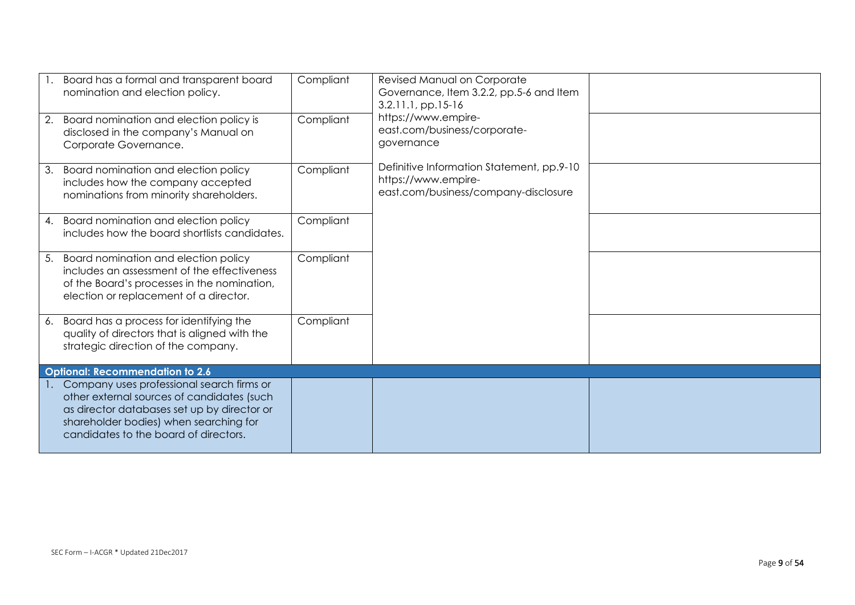| 2. | 1. Board has a formal and transparent board<br>nomination and election policy.<br>Board nomination and election policy is                                                                                                    | Compliant<br>Compliant | <b>Revised Manual on Corporate</b><br>Governance, Item 3.2.2, pp.5-6 and Item<br>3.2.11.1, pp.15-16<br>https://www.empire- |  |
|----|------------------------------------------------------------------------------------------------------------------------------------------------------------------------------------------------------------------------------|------------------------|----------------------------------------------------------------------------------------------------------------------------|--|
|    | disclosed in the company's Manual on<br>Corporate Governance.                                                                                                                                                                |                        | east.com/business/corporate-<br>governance                                                                                 |  |
| 3. | Board nomination and election policy<br>includes how the company accepted<br>nominations from minority shareholders.                                                                                                         | Compliant              | Definitive Information Statement, pp.9-10<br>https://www.empire-<br>east.com/business/company-disclosure                   |  |
|    | 4. Board nomination and election policy<br>includes how the board shortlists candidates.                                                                                                                                     | Compliant              |                                                                                                                            |  |
|    | 5. Board nomination and election policy<br>includes an assessment of the effectiveness<br>of the Board's processes in the nomination,<br>election or replacement of a director.                                              | Compliant              |                                                                                                                            |  |
|    | 6. Board has a process for identifying the<br>quality of directors that is aligned with the<br>strategic direction of the company.                                                                                           | Compliant              |                                                                                                                            |  |
|    | <b>Optional: Recommendation to 2.6</b>                                                                                                                                                                                       |                        |                                                                                                                            |  |
|    | 1. Company uses professional search firms or<br>other external sources of candidates (such<br>as director databases set up by director or<br>shareholder bodies) when searching for<br>candidates to the board of directors. |                        |                                                                                                                            |  |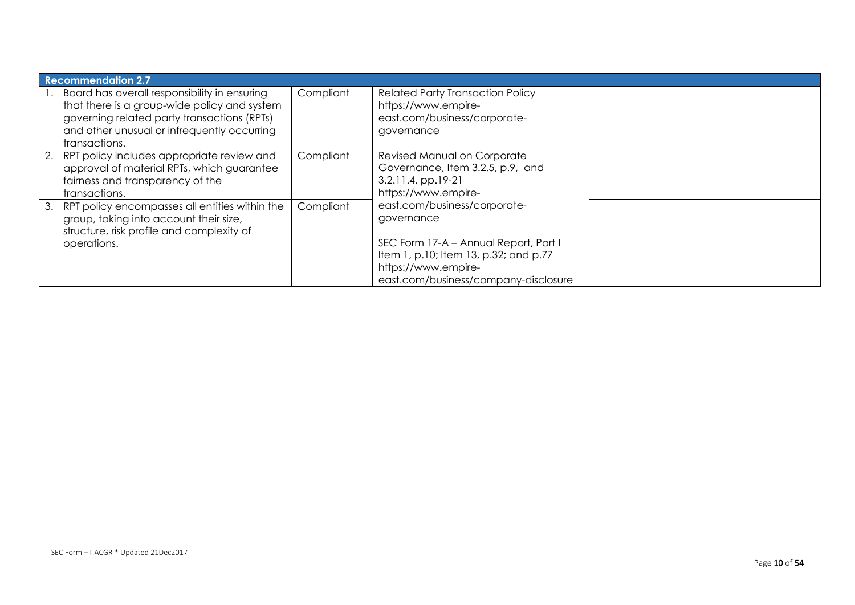| <b>Recommendation 2.7</b>                                                                                                                                                                                   |           |                                                                                                                                                                                             |  |
|-------------------------------------------------------------------------------------------------------------------------------------------------------------------------------------------------------------|-----------|---------------------------------------------------------------------------------------------------------------------------------------------------------------------------------------------|--|
| Board has overall responsibility in ensuring<br>that there is a group-wide policy and system<br>governing related party transactions (RPTs)<br>and other unusual or infrequently occurring<br>transactions. | Compliant | <b>Related Party Transaction Policy</b><br>https://www.empire-<br>east.com/business/corporate-<br>governance                                                                                |  |
| 2. RPT policy includes appropriate review and<br>approval of material RPTs, which guarantee<br>fairness and transparency of the<br>transactions.                                                            | Compliant | Revised Manual on Corporate<br>Governance, Item 3.2.5, p.9, and<br>$3.2.11.4$ , pp.19-21<br>https://www.empire-                                                                             |  |
| 3. RPT policy encompasses all entities within the<br>group, taking into account their size,<br>structure, risk profile and complexity of<br>operations.                                                     | Compliant | east.com/business/corporate-<br>governance<br>SEC Form 17-A - Annual Report, Part I<br>Item 1, p.10; Item 13, p.32; and p.77<br>https://www.empire-<br>east.com/business/company-disclosure |  |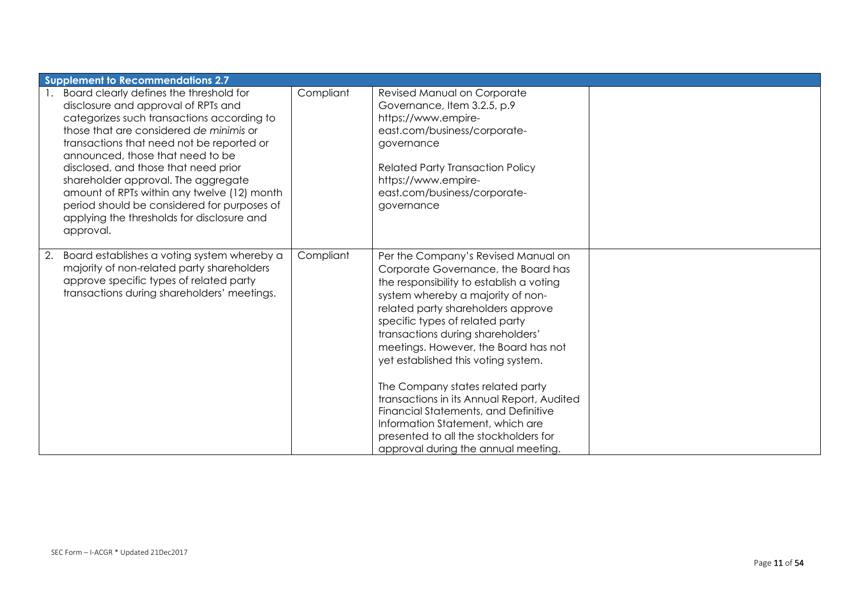| <b>Supplement to Recommendations 2.7</b>                                                                                                                                                                                                                                                                                                                                                                                                                                                            |           |                                                                                                                                                                                                                                                                                                                                                                                                                                                                                                                                                                                                        |  |  |
|-----------------------------------------------------------------------------------------------------------------------------------------------------------------------------------------------------------------------------------------------------------------------------------------------------------------------------------------------------------------------------------------------------------------------------------------------------------------------------------------------------|-----------|--------------------------------------------------------------------------------------------------------------------------------------------------------------------------------------------------------------------------------------------------------------------------------------------------------------------------------------------------------------------------------------------------------------------------------------------------------------------------------------------------------------------------------------------------------------------------------------------------------|--|--|
| 1. Board clearly defines the threshold for<br>disclosure and approval of RPTs and<br>categorizes such transactions according to<br>those that are considered de minimis or<br>transactions that need not be reported or<br>announced, those that need to be<br>disclosed, and those that need prior<br>shareholder approval. The aggregate<br>amount of RPTs within any twelve (12) month<br>period should be considered for purposes of<br>applying the thresholds for disclosure and<br>approval. | Compliant | Revised Manual on Corporate<br>Governance, Item 3.2.5, p.9<br>https://www.empire-<br>east.com/business/corporate-<br>governance<br><b>Related Party Transaction Policy</b><br>https://www.empire-<br>east.com/business/corporate-<br>governance                                                                                                                                                                                                                                                                                                                                                        |  |  |
| Board establishes a voting system whereby a<br>2.<br>majority of non-related party shareholders<br>approve specific types of related party<br>transactions during shareholders' meetings.                                                                                                                                                                                                                                                                                                           | Compliant | Per the Company's Revised Manual on<br>Corporate Governance, the Board has<br>the responsibility to establish a voting<br>system whereby a majority of non-<br>related party shareholders approve<br>specific types of related party<br>transactions during shareholders'<br>meetings. However, the Board has not<br>yet established this voting system.<br>The Company states related party<br>transactions in its Annual Report, Audited<br>Financial Statements, and Definitive<br>Information Statement, which are<br>presented to all the stockholders for<br>approval during the annual meeting. |  |  |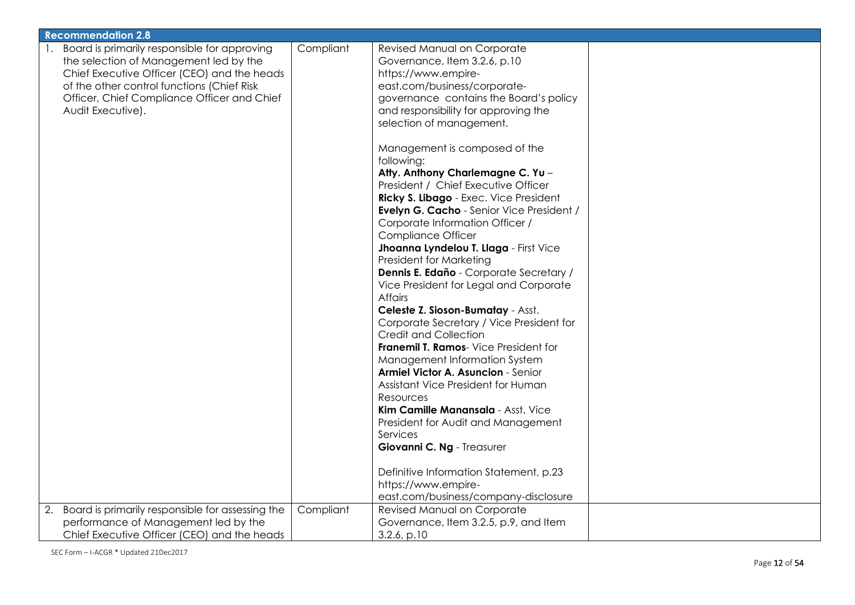| <b>Recommendation 2.8</b>                                                                                                                                                                                                                               |           |                                                                                                                                                                                                                                                                                                                                                                                                                                                                                                                                                                                                                                                                                                                                                                                                                                                                                                                                                                                                                                                                                                                                                                           |  |
|---------------------------------------------------------------------------------------------------------------------------------------------------------------------------------------------------------------------------------------------------------|-----------|---------------------------------------------------------------------------------------------------------------------------------------------------------------------------------------------------------------------------------------------------------------------------------------------------------------------------------------------------------------------------------------------------------------------------------------------------------------------------------------------------------------------------------------------------------------------------------------------------------------------------------------------------------------------------------------------------------------------------------------------------------------------------------------------------------------------------------------------------------------------------------------------------------------------------------------------------------------------------------------------------------------------------------------------------------------------------------------------------------------------------------------------------------------------------|--|
| Board is primarily responsible for approving<br>the selection of Management led by the<br>Chief Executive Officer (CEO) and the heads<br>of the other control functions (Chief Risk<br>Officer, Chief Compliance Officer and Chief<br>Audit Executive). | Compliant | Revised Manual on Corporate<br>Governance, Item 3.2.6, p.10<br>https://www.empire-<br>east.com/business/corporate-<br>governance contains the Board's policy<br>and responsibility for approving the<br>selection of management.<br>Management is composed of the<br>following:<br>Atty. Anthony Charlemagne C. Yu -<br>President / Chief Executive Officer<br>Ricky S. Libago - Exec. Vice President<br>Evelyn G. Cacho - Senior Vice President /<br>Corporate Information Officer /<br><b>Compliance Officer</b><br>Jhoanna Lyndelou T. Llaga - First Vice<br>President for Marketing<br>Dennis E. Edaño - Corporate Secretary /<br>Vice President for Legal and Corporate<br><b>Affairs</b><br>Celeste Z. Sioson-Bumatay - Asst.<br>Corporate Secretary / Vice President for<br><b>Credit and Collection</b><br>Franemil T. Ramos- Vice President for<br>Management Information System<br>Armiel Victor A. Asuncion - Senior<br>Assistant Vice President for Human<br>Resources<br>Kim Camille Manansala - Asst. Vice<br>President for Audit and Management<br>Services<br>Giovanni C. Ng - Treasurer<br>Definitive Information Statement, p.23<br>https://www.empire- |  |
|                                                                                                                                                                                                                                                         |           | east.com/business/company-disclosure                                                                                                                                                                                                                                                                                                                                                                                                                                                                                                                                                                                                                                                                                                                                                                                                                                                                                                                                                                                                                                                                                                                                      |  |
| Board is primarily responsible for assessing the<br>2.<br>performance of Management led by the<br>Chief Executive Officer (CEO) and the heads                                                                                                           | Compliant | Revised Manual on Corporate<br>Governance, Item 3.2.5, p.9, and Item<br>$3.2.6$ , p.10                                                                                                                                                                                                                                                                                                                                                                                                                                                                                                                                                                                                                                                                                                                                                                                                                                                                                                                                                                                                                                                                                    |  |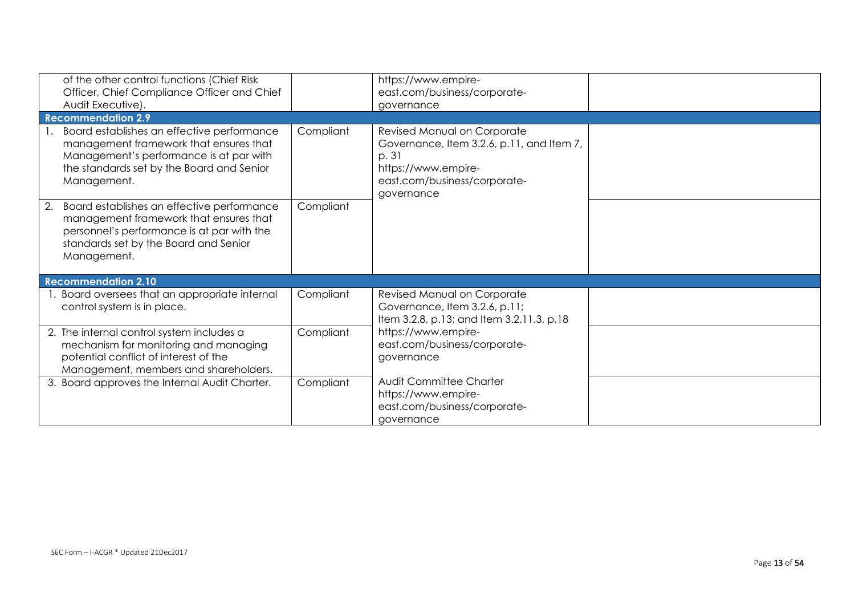| of the other control functions (Chief Risk<br>Officer, Chief Compliance Officer and Chief<br>Audit Executive).                                                                                   |           | https://www.empire-<br>east.com/business/corporate-<br>governance                                                                                      |  |
|--------------------------------------------------------------------------------------------------------------------------------------------------------------------------------------------------|-----------|--------------------------------------------------------------------------------------------------------------------------------------------------------|--|
| <b>Recommendation 2.9</b>                                                                                                                                                                        |           |                                                                                                                                                        |  |
| Board establishes an effective performance<br>management framework that ensures that<br>Management's performance is at par with<br>the standards set by the Board and Senior<br>Management.      | Compliant | Revised Manual on Corporate<br>Governance, Item 3.2.6, p.11, and Item 7,<br>p. 31<br>https://www.empire-<br>east.com/business/corporate-<br>governance |  |
| Board establishes an effective performance<br>2.<br>management framework that ensures that<br>personnel's performance is at par with the<br>standards set by the Board and Senior<br>Management. | Compliant |                                                                                                                                                        |  |
| <b>Recommendation 2.10</b>                                                                                                                                                                       |           |                                                                                                                                                        |  |
| 1. Board oversees that an appropriate internal<br>control system is in place.                                                                                                                    | Compliant | Revised Manual on Corporate<br>Governance, Item 3.2.6, p.11;<br>Item 3.2.8, p.13; and Item 3.2.11.3, p.18                                              |  |
| 2. The internal control system includes a<br>mechanism for monitoring and managing<br>potential conflict of interest of the<br>Management, members and shareholders.                             | Compliant | https://www.empire-<br>east.com/business/corporate-<br>governance                                                                                      |  |
| 3. Board approves the Internal Audit Charter.                                                                                                                                                    | Compliant | <b>Audit Committee Charter</b><br>https://www.empire-<br>east.com/business/corporate-<br>governance                                                    |  |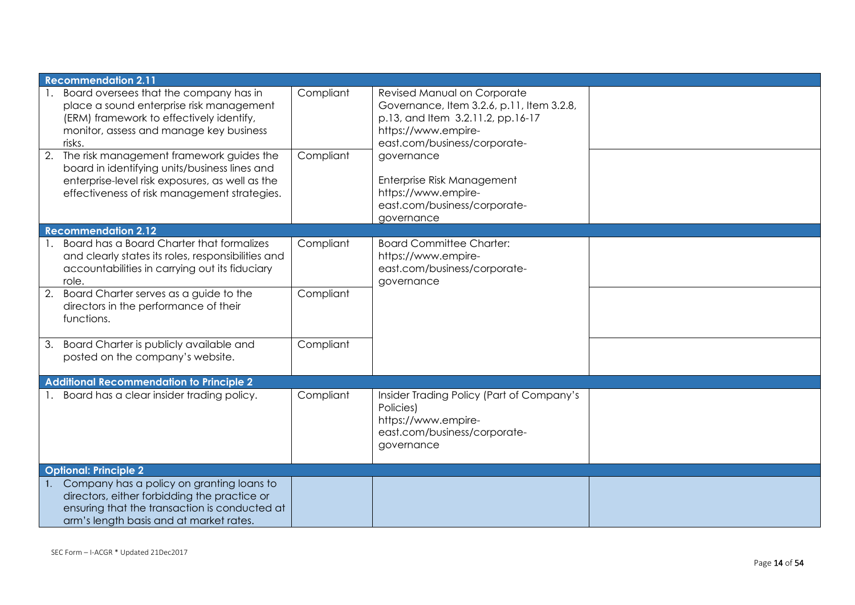| <b>Recommendation 2.11</b>                                                                                                                                                                                                         |                        |                                                                                                                                                                                    |  |
|------------------------------------------------------------------------------------------------------------------------------------------------------------------------------------------------------------------------------------|------------------------|------------------------------------------------------------------------------------------------------------------------------------------------------------------------------------|--|
| Board oversees that the company has in<br>place a sound enterprise risk management<br>(ERM) framework to effectively identify,<br>monitor, assess and manage key business<br>risks.<br>2. The risk management framework guides the | Compliant<br>Compliant | Revised Manual on Corporate<br>Governance, Item 3.2.6, p.11, Item 3.2.8,<br>p.13, and Item 3.2.11.2, pp.16-17<br>https://www.empire-<br>east.com/business/corporate-<br>governance |  |
| board in identifying units/business lines and<br>enterprise-level risk exposures, as well as the<br>effectiveness of risk management strategies.                                                                                   |                        | Enterprise Risk Management<br>https://www.empire-<br>east.com/business/corporate-<br>governance                                                                                    |  |
| <b>Recommendation 2.12</b>                                                                                                                                                                                                         |                        |                                                                                                                                                                                    |  |
| Board has a Board Charter that formalizes<br>and clearly states its roles, responsibilities and<br>accountabilities in carrying out its fiduciary<br>role.                                                                         | Compliant              | <b>Board Committee Charter:</b><br>https://www.empire-<br>east.com/business/corporate-<br>governance                                                                               |  |
| Board Charter serves as a guide to the<br>2.<br>directors in the performance of their<br>functions.                                                                                                                                | Compliant              |                                                                                                                                                                                    |  |
| 3. Board Charter is publicly available and<br>posted on the company's website.                                                                                                                                                     | Compliant              |                                                                                                                                                                                    |  |
| <b>Additional Recommendation to Principle 2</b>                                                                                                                                                                                    |                        |                                                                                                                                                                                    |  |
| 1. Board has a clear insider trading policy.                                                                                                                                                                                       | Compliant              | Insider Trading Policy (Part of Company's<br>Policies)<br>https://www.empire-<br>east.com/business/corporate-<br>governance                                                        |  |
| <b>Optional: Principle 2</b>                                                                                                                                                                                                       |                        |                                                                                                                                                                                    |  |
| Company has a policy on granting loans to<br>directors, either forbidding the practice or<br>ensuring that the transaction is conducted at<br>arm's length basis and at market rates.                                              |                        |                                                                                                                                                                                    |  |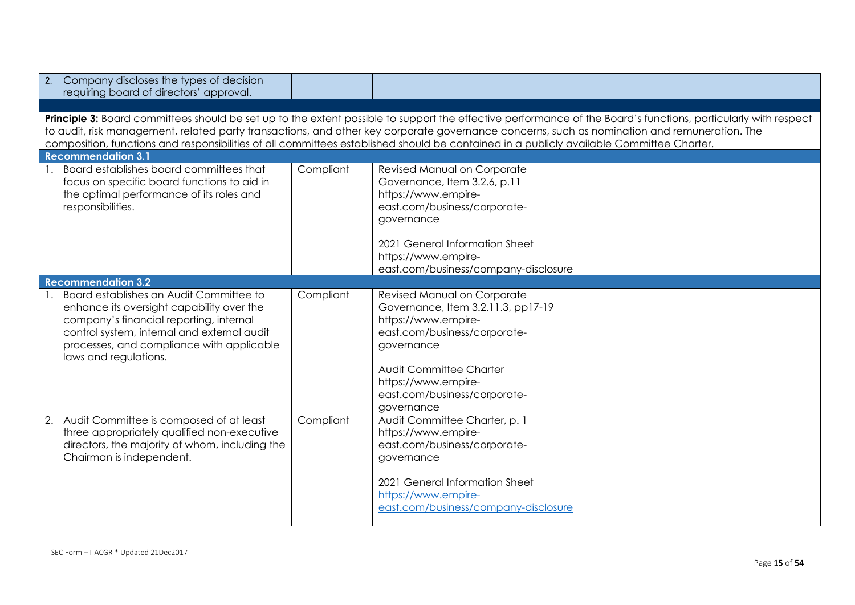| Company discloses the types of decision<br>2.<br>requiring board of directors' approval.                                                                                                                                                             |                                                                                                                                                                                                                                                                                                                                                                                                                                                            |                                                                                                                                                                                                                                        |  |  |  |  |
|------------------------------------------------------------------------------------------------------------------------------------------------------------------------------------------------------------------------------------------------------|------------------------------------------------------------------------------------------------------------------------------------------------------------------------------------------------------------------------------------------------------------------------------------------------------------------------------------------------------------------------------------------------------------------------------------------------------------|----------------------------------------------------------------------------------------------------------------------------------------------------------------------------------------------------------------------------------------|--|--|--|--|
|                                                                                                                                                                                                                                                      |                                                                                                                                                                                                                                                                                                                                                                                                                                                            |                                                                                                                                                                                                                                        |  |  |  |  |
| <b>Recommendation 3.1</b>                                                                                                                                                                                                                            | Principle 3: Board committees should be set up to the extent possible to support the effective performance of the Board's functions, particularly with respect<br>to audit, risk management, related party transactions, and other key corporate governance concerns, such as nomination and remuneration. The<br>composition, functions and responsibilities of all committees established should be contained in a publicly available Committee Charter. |                                                                                                                                                                                                                                        |  |  |  |  |
| Board establishes board committees that                                                                                                                                                                                                              |                                                                                                                                                                                                                                                                                                                                                                                                                                                            |                                                                                                                                                                                                                                        |  |  |  |  |
| focus on specific board functions to aid in<br>the optimal performance of its roles and<br>responsibilities.                                                                                                                                         | Compliant                                                                                                                                                                                                                                                                                                                                                                                                                                                  | Revised Manual on Corporate<br>Governance, Item 3.2.6, p.11<br>https://www.empire-<br>east.com/business/corporate-<br>governance                                                                                                       |  |  |  |  |
|                                                                                                                                                                                                                                                      |                                                                                                                                                                                                                                                                                                                                                                                                                                                            | 2021 General Information Sheet<br>https://www.empire-<br>east.com/business/company-disclosure                                                                                                                                          |  |  |  |  |
| <b>Recommendation 3.2</b>                                                                                                                                                                                                                            |                                                                                                                                                                                                                                                                                                                                                                                                                                                            |                                                                                                                                                                                                                                        |  |  |  |  |
| Board establishes an Audit Committee to<br>enhance its oversight capability over the<br>company's financial reporting, internal<br>control system, internal and external audit<br>processes, and compliance with applicable<br>laws and regulations. | Compliant                                                                                                                                                                                                                                                                                                                                                                                                                                                  | Revised Manual on Corporate<br>Governance, Item 3.2.11.3, pp17-19<br>https://www.empire-<br>east.com/business/corporate-<br>governance<br>Audit Committee Charter<br>https://www.empire-<br>east.com/business/corporate-<br>governance |  |  |  |  |
| 2. Audit Committee is composed of at least<br>three appropriately qualified non-executive<br>directors, the majority of whom, including the<br>Chairman is independent.                                                                              | Compliant                                                                                                                                                                                                                                                                                                                                                                                                                                                  | Audit Committee Charter, p. 1<br>https://www.empire-<br>east.com/business/corporate-<br>governance<br>2021 General Information Sheet<br>https://www.empire-<br>east.com/business/company-disclosure                                    |  |  |  |  |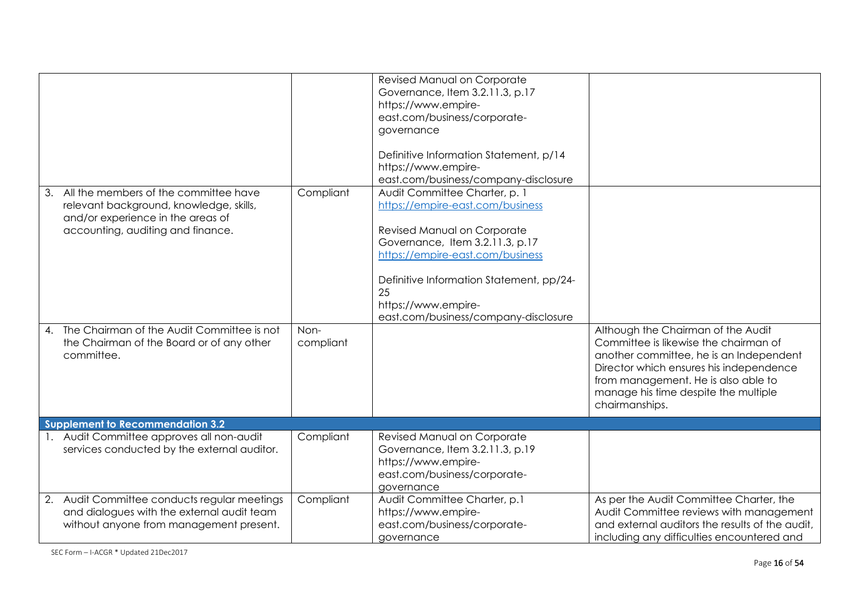|                                                                                                                                                               |                   | Revised Manual on Corporate<br>Governance, Item 3.2.11.3, p.17<br>https://www.empire-<br>east.com/business/corporate-<br>governance<br>Definitive Information Statement, p/14<br>https://www.empire-<br>east.com/business/company-disclosure                                             |                                                                                                                                                                                                                                                                    |
|---------------------------------------------------------------------------------------------------------------------------------------------------------------|-------------------|------------------------------------------------------------------------------------------------------------------------------------------------------------------------------------------------------------------------------------------------------------------------------------------|--------------------------------------------------------------------------------------------------------------------------------------------------------------------------------------------------------------------------------------------------------------------|
| 3. All the members of the committee have<br>relevant background, knowledge, skills,<br>and/or experience in the areas of<br>accounting, auditing and finance. | Compliant         | Audit Committee Charter, p. 1<br>https://empire-east.com/business<br>Revised Manual on Corporate<br>Governance, Item 3.2.11.3, p.17<br>https://empire-east.com/business<br>Definitive Information Statement, pp/24-<br>25<br>https://www.empire-<br>east.com/business/company-disclosure |                                                                                                                                                                                                                                                                    |
| 4. The Chairman of the Audit Committee is not<br>the Chairman of the Board or of any other<br>committee.                                                      | Non-<br>compliant |                                                                                                                                                                                                                                                                                          | Although the Chairman of the Audit<br>Committee is likewise the chairman of<br>another committee, he is an Independent<br>Director which ensures his independence<br>from management. He is also able to<br>manage his time despite the multiple<br>chairmanships. |
| <b>Supplement to Recommendation 3.2</b>                                                                                                                       |                   |                                                                                                                                                                                                                                                                                          |                                                                                                                                                                                                                                                                    |
| 1. Audit Committee approves all non-audit<br>services conducted by the external auditor.                                                                      | Compliant         | Revised Manual on Corporate<br>Governance, Item 3.2.11.3, p.19<br>https://www.empire-<br>east.com/business/corporate-<br>governance                                                                                                                                                      |                                                                                                                                                                                                                                                                    |
| Audit Committee conducts regular meetings<br>2.<br>and dialogues with the external audit team<br>without anyone from management present.                      | Compliant         | Audit Committee Charter, p.1<br>https://www.empire-<br>east.com/business/corporate-<br>governance                                                                                                                                                                                        | As per the Audit Committee Charter, the<br>Audit Committee reviews with management<br>and external auditors the results of the audit,<br>including any difficulties encountered and                                                                                |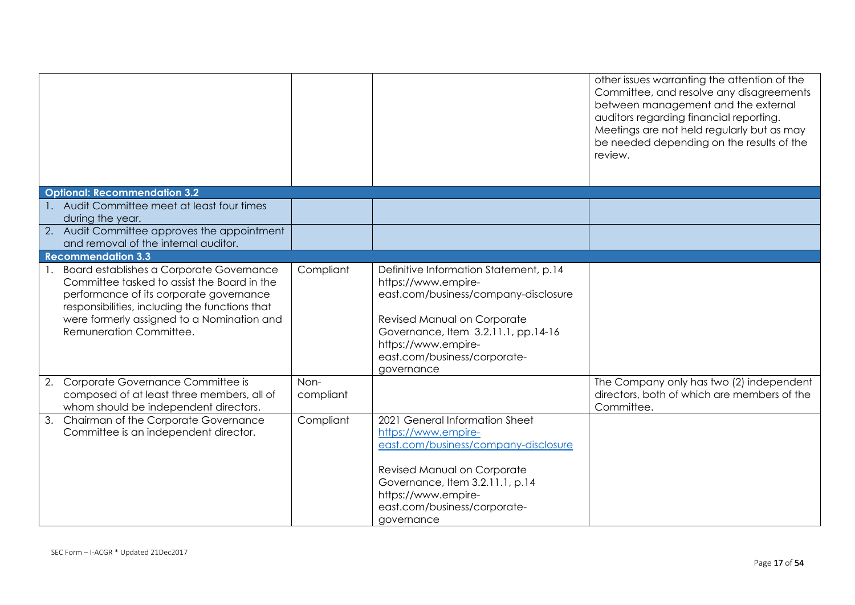|                                                                                                                                                                                                                                                                  |                   |                                                                                                                                                                                                                                                  | other issues warranting the attention of the<br>Committee, and resolve any disagreements<br>between management and the external<br>auditors regarding financial reporting.<br>Meetings are not held regularly but as may<br>be needed depending on the results of the<br>review. |
|------------------------------------------------------------------------------------------------------------------------------------------------------------------------------------------------------------------------------------------------------------------|-------------------|--------------------------------------------------------------------------------------------------------------------------------------------------------------------------------------------------------------------------------------------------|----------------------------------------------------------------------------------------------------------------------------------------------------------------------------------------------------------------------------------------------------------------------------------|
| <b>Optional: Recommendation 3.2</b>                                                                                                                                                                                                                              |                   |                                                                                                                                                                                                                                                  |                                                                                                                                                                                                                                                                                  |
| 1. Audit Committee meet at least four times<br>during the year.                                                                                                                                                                                                  |                   |                                                                                                                                                                                                                                                  |                                                                                                                                                                                                                                                                                  |
| 2. Audit Committee approves the appointment<br>and removal of the internal auditor.                                                                                                                                                                              |                   |                                                                                                                                                                                                                                                  |                                                                                                                                                                                                                                                                                  |
| <b>Recommendation 3.3</b>                                                                                                                                                                                                                                        |                   |                                                                                                                                                                                                                                                  |                                                                                                                                                                                                                                                                                  |
| 1. Board establishes a Corporate Governance<br>Committee tasked to assist the Board in the<br>performance of its corporate governance<br>responsibilities, including the functions that<br>were formerly assigned to a Nomination and<br>Remuneration Committee. | Compliant         | Definitive Information Statement, p.14<br>https://www.empire-<br>east.com/business/company-disclosure<br>Revised Manual on Corporate<br>Governance, Item 3.2.11.1, pp.14-16<br>https://www.empire-<br>east.com/business/corporate-<br>governance |                                                                                                                                                                                                                                                                                  |
| 2. Corporate Governance Committee is<br>composed of at least three members, all of<br>whom should be independent directors.                                                                                                                                      | Non-<br>compliant |                                                                                                                                                                                                                                                  | The Company only has two (2) independent<br>directors, both of which are members of the<br>Committee.                                                                                                                                                                            |
| Chairman of the Corporate Governance<br>3.<br>Committee is an independent director.                                                                                                                                                                              | Compliant         | 2021 General Information Sheet<br>https://www.empire-<br>east.com/business/company-disclosure<br>Revised Manual on Corporate<br>Governance, Item 3.2.11.1, p.14<br>https://www.empire-<br>east.com/business/corporate-<br>governance             |                                                                                                                                                                                                                                                                                  |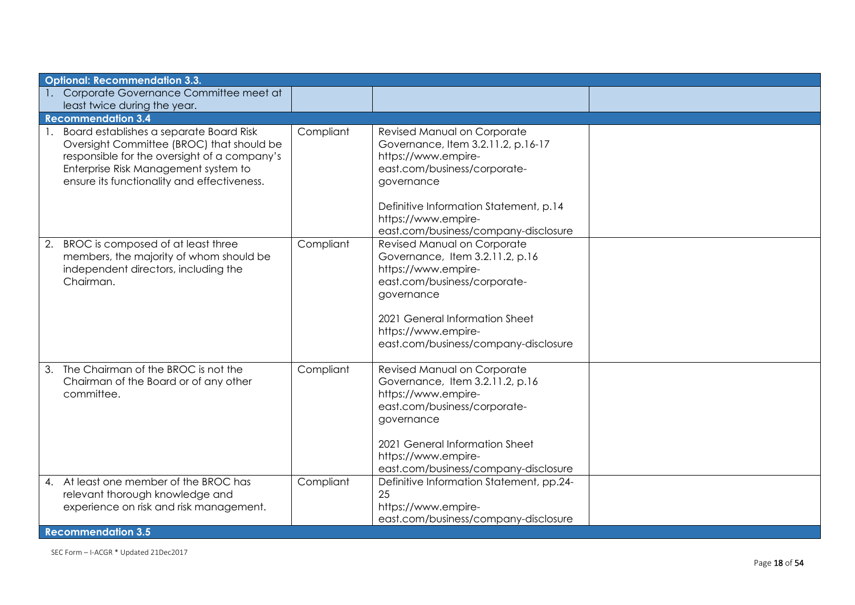| <b>Optional: Recommendation 3.3.</b>                                                                                                                                                                                           |           |                                                                                                                                                                                                                                                 |  |
|--------------------------------------------------------------------------------------------------------------------------------------------------------------------------------------------------------------------------------|-----------|-------------------------------------------------------------------------------------------------------------------------------------------------------------------------------------------------------------------------------------------------|--|
| 1. Corporate Governance Committee meet at<br>least twice during the year.                                                                                                                                                      |           |                                                                                                                                                                                                                                                 |  |
| <b>Recommendation 3.4</b>                                                                                                                                                                                                      |           |                                                                                                                                                                                                                                                 |  |
| 1. Board establishes a separate Board Risk<br>Oversight Committee (BROC) that should be<br>responsible for the oversight of a company's<br>Enterprise Risk Management system to<br>ensure its functionality and effectiveness. | Compliant | Revised Manual on Corporate<br>Governance, Item 3.2.11.2, p.16-17<br>https://www.empire-<br>east.com/business/corporate-<br>governance<br>Definitive Information Statement, p.14<br>https://www.empire-<br>east.com/business/company-disclosure |  |
| 2. BROC is composed of at least three<br>members, the majority of whom should be<br>independent directors, including the<br>Chairman.                                                                                          | Compliant | Revised Manual on Corporate<br>Governance, Item 3.2.11.2, p.16<br>https://www.empire-<br>east.com/business/corporate-<br>governance<br>2021 General Information Sheet<br>https://www.empire-<br>east.com/business/company-disclosure            |  |
| 3. The Chairman of the BROC is not the<br>Chairman of the Board or of any other<br>committee.                                                                                                                                  | Compliant | Revised Manual on Corporate<br>Governance, Item 3.2.11.2, p.16<br>https://www.empire-<br>east.com/business/corporate-<br>governance<br>2021 General Information Sheet<br>https://www.empire-<br>east.com/business/company-disclosure            |  |
| 4. At least one member of the BROC has<br>relevant thorough knowledge and<br>experience on risk and risk management.                                                                                                           | Compliant | Definitive Information Statement, pp.24-<br>25<br>https://www.empire-<br>east.com/business/company-disclosure                                                                                                                                   |  |
| <b>Recommendation 3.5</b>                                                                                                                                                                                                      |           |                                                                                                                                                                                                                                                 |  |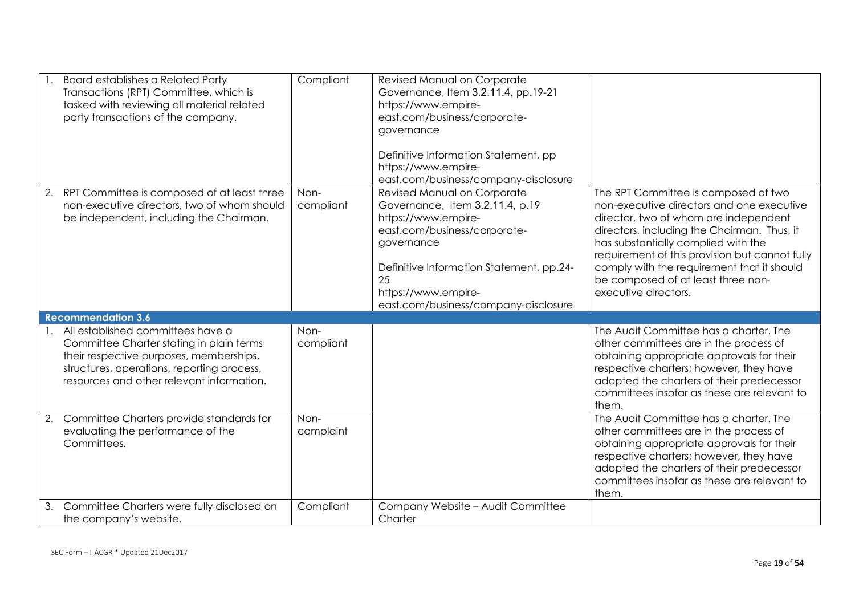|    | <b>Board establishes a Related Party</b><br>Transactions (RPT) Committee, which is<br>tasked with reviewing all material related<br>party transactions of the company.                                              | Compliant         | Revised Manual on Corporate<br>Governance, Item 3.2.11.4, pp.19-21<br>https://www.empire-<br>east.com/business/corporate-<br>governance<br>Definitive Information Statement, pp<br>https://www.empire-<br>east.com/business/company-disclosure       |                                                                                                                                                                                                                                                                                                                                                                                |
|----|---------------------------------------------------------------------------------------------------------------------------------------------------------------------------------------------------------------------|-------------------|------------------------------------------------------------------------------------------------------------------------------------------------------------------------------------------------------------------------------------------------------|--------------------------------------------------------------------------------------------------------------------------------------------------------------------------------------------------------------------------------------------------------------------------------------------------------------------------------------------------------------------------------|
|    | 2. RPT Committee is composed of at least three<br>non-executive directors, two of whom should<br>be independent, including the Chairman.                                                                            | Non-<br>compliant | Revised Manual on Corporate<br>Governance, Item 3.2.11.4, p.19<br>https://www.empire-<br>east.com/business/corporate-<br>governance<br>Definitive Information Statement, pp.24-<br>25<br>https://www.empire-<br>east.com/business/company-disclosure | The RPT Committee is composed of two<br>non-executive directors and one executive<br>director, two of whom are independent<br>directors, including the Chairman. Thus, it<br>has substantially complied with the<br>requirement of this provision but cannot fully<br>comply with the requirement that it should<br>be composed of at least three non-<br>executive directors. |
|    | <b>Recommendation 3.6</b>                                                                                                                                                                                           |                   |                                                                                                                                                                                                                                                      |                                                                                                                                                                                                                                                                                                                                                                                |
|    | All established committees have a<br>Committee Charter stating in plain terms<br>their respective purposes, memberships,<br>structures, operations, reporting process,<br>resources and other relevant information. | Non-<br>compliant |                                                                                                                                                                                                                                                      | The Audit Committee has a charter. The<br>other committees are in the process of<br>obtaining appropriate approvals for their<br>respective charters; however, they have<br>adopted the charters of their predecessor<br>committees insofar as these are relevant to<br>them.                                                                                                  |
| 2. | Committee Charters provide standards for<br>evaluating the performance of the<br>Committees.                                                                                                                        | Non-<br>complaint |                                                                                                                                                                                                                                                      | The Audit Committee has a charter. The<br>other committees are in the process of<br>obtaining appropriate approvals for their<br>respective charters; however, they have<br>adopted the charters of their predecessor<br>committees insofar as these are relevant to<br>them.                                                                                                  |
| 3. | Committee Charters were fully disclosed on<br>the company's website.                                                                                                                                                | Compliant         | Company Website - Audit Committee<br>Charter                                                                                                                                                                                                         |                                                                                                                                                                                                                                                                                                                                                                                |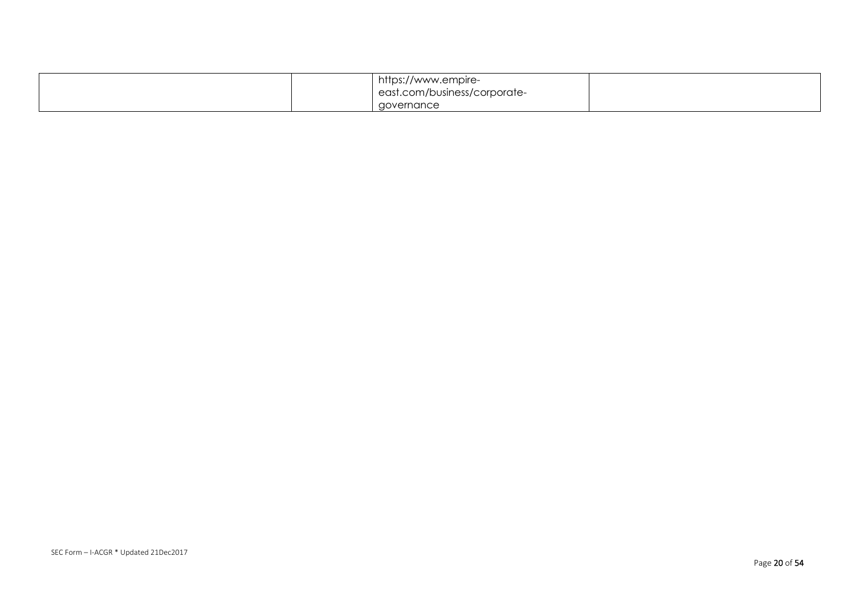|  | https://www.empire-          |  |
|--|------------------------------|--|
|  | east.com/business/corporate- |  |
|  | governance                   |  |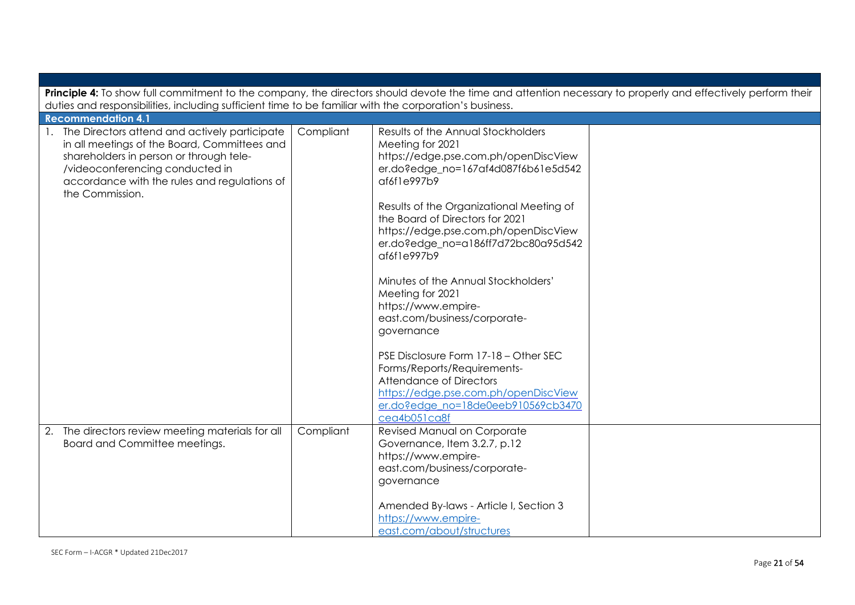|                                                                                                                                                                                                                                                                                |           | Principle 4: To show full commitment to the company, the directors should devote the time and attention necessary to properly and effectively perform their                                                                                                   |  |
|--------------------------------------------------------------------------------------------------------------------------------------------------------------------------------------------------------------------------------------------------------------------------------|-----------|---------------------------------------------------------------------------------------------------------------------------------------------------------------------------------------------------------------------------------------------------------------|--|
| duties and responsibilities, including sufficient time to be familiar with the corporation's business.                                                                                                                                                                         |           |                                                                                                                                                                                                                                                               |  |
| <b>Recommendation 4.1</b><br>1. The Directors attend and actively participate<br>in all meetings of the Board, Committees and<br>shareholders in person or through tele-<br>/videoconferencing conducted in<br>accordance with the rules and regulations of<br>the Commission. | Compliant | Results of the Annual Stockholders<br>Meeting for 2021<br>https://edge.pse.com.ph/openDiscView<br>er.do?edge_no=167af4d087f6b61e5d542<br>af6f1e997b9<br>Results of the Organizational Meeting of                                                              |  |
|                                                                                                                                                                                                                                                                                |           | the Board of Directors for 2021<br>https://edge.pse.com.ph/openDiscView<br>er.do?edge_no=a186ff7d72bc80a95d542<br>af6f1e997b9<br>Minutes of the Annual Stockholders'<br>Meeting for 2021<br>https://www.empire-<br>east.com/business/corporate-<br>governance |  |
|                                                                                                                                                                                                                                                                                |           | PSE Disclosure Form 17-18 - Other SEC<br>Forms/Reports/Requirements-<br><b>Attendance of Directors</b><br>https://edge.pse.com.ph/openDiscView<br>er.do?edge no=18de0eeb910569cb3470<br>cea4b051ca8f                                                          |  |
| 2. The directors review meeting materials for all<br>Board and Committee meetings.                                                                                                                                                                                             | Compliant | Revised Manual on Corporate<br>Governance, Item 3.2.7, p.12<br>https://www.empire-<br>east.com/business/corporate-<br>governance<br>Amended By-laws - Article I, Section 3<br>https://www.empire-<br>east.com/about/structures                                |  |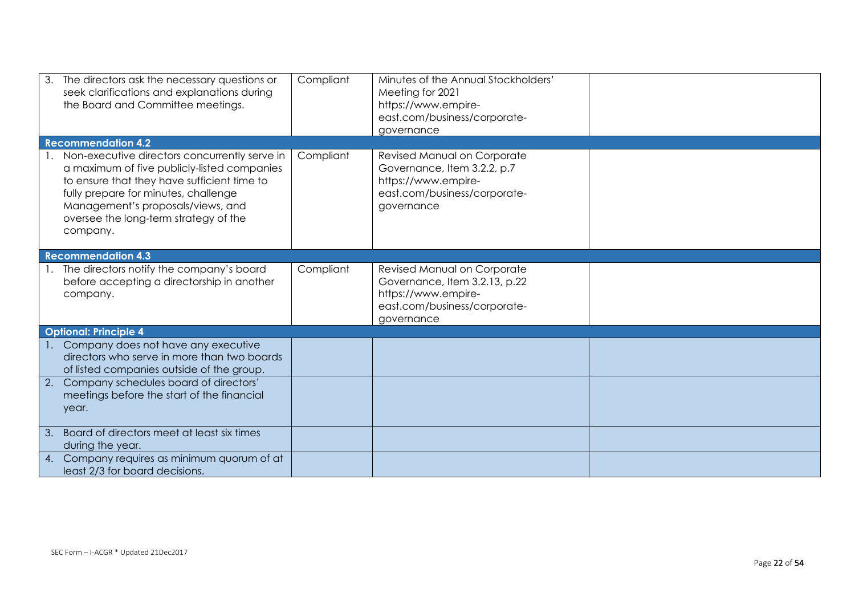| 3. The directors ask the necessary questions or<br>seek clarifications and explanations during<br>the Board and Committee meetings.                                                                                                                                              | Compliant | Minutes of the Annual Stockholders'<br>Meeting for 2021<br>https://www.empire-<br>east.com/business/corporate-<br>governance      |  |
|----------------------------------------------------------------------------------------------------------------------------------------------------------------------------------------------------------------------------------------------------------------------------------|-----------|-----------------------------------------------------------------------------------------------------------------------------------|--|
| <b>Recommendation 4.2</b>                                                                                                                                                                                                                                                        |           |                                                                                                                                   |  |
| 1. Non-executive directors concurrently serve in<br>a maximum of five publicly-listed companies<br>to ensure that they have sufficient time to<br>fully prepare for minutes, challenge<br>Management's proposals/views, and<br>oversee the long-term strategy of the<br>company. | Compliant | Revised Manual on Corporate<br>Governance, Item 3.2.2, p.7<br>https://www.empire-<br>east.com/business/corporate-<br>governance   |  |
| <b>Recommendation 4.3</b>                                                                                                                                                                                                                                                        |           |                                                                                                                                   |  |
| The directors notify the company's board<br>before accepting a directorship in another<br>company.                                                                                                                                                                               | Compliant | Revised Manual on Corporate<br>Governance, Item 3.2.13, p.22<br>https://www.empire-<br>east.com/business/corporate-<br>governance |  |
| <b>Optional: Principle 4</b>                                                                                                                                                                                                                                                     |           |                                                                                                                                   |  |
| Company does not have any executive<br>directors who serve in more than two boards<br>of listed companies outside of the group.                                                                                                                                                  |           |                                                                                                                                   |  |
| 2. Company schedules board of directors'<br>meetings before the start of the financial<br>year.                                                                                                                                                                                  |           |                                                                                                                                   |  |
| 3. Board of directors meet at least six times<br>during the year.                                                                                                                                                                                                                |           |                                                                                                                                   |  |
| 4. Company requires as minimum quorum of at<br>least 2/3 for board decisions.                                                                                                                                                                                                    |           |                                                                                                                                   |  |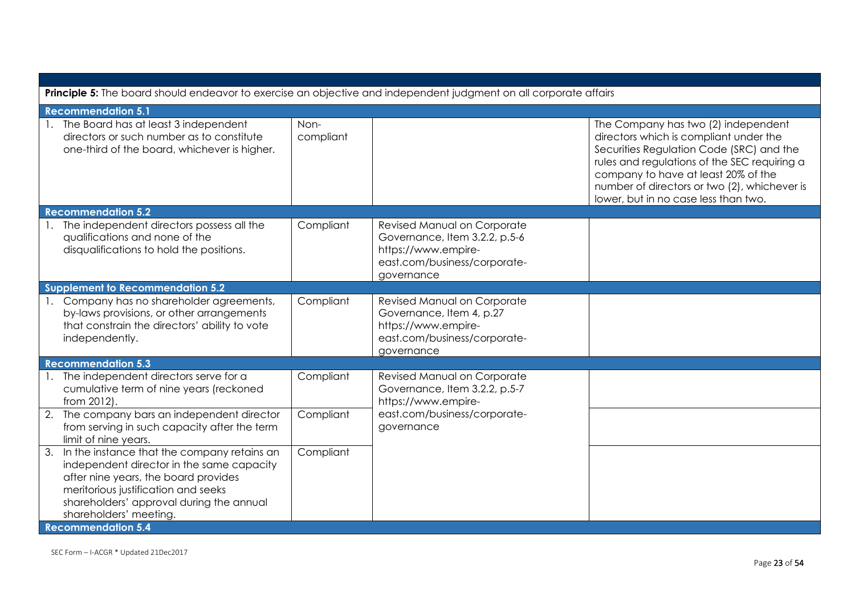| Principle 5: The board should endeavor to exercise an objective and independent judgment on all corporate affairs                                                                                                                                                             |                   |                                                                                                                                   |                                                                                                                                                                                                                                                                                                          |  |
|-------------------------------------------------------------------------------------------------------------------------------------------------------------------------------------------------------------------------------------------------------------------------------|-------------------|-----------------------------------------------------------------------------------------------------------------------------------|----------------------------------------------------------------------------------------------------------------------------------------------------------------------------------------------------------------------------------------------------------------------------------------------------------|--|
| <b>Recommendation 5.1</b>                                                                                                                                                                                                                                                     |                   |                                                                                                                                   |                                                                                                                                                                                                                                                                                                          |  |
| 1. The Board has at least 3 independent<br>directors or such number as to constitute<br>one-third of the board, whichever is higher.                                                                                                                                          | Non-<br>compliant |                                                                                                                                   | The Company has two (2) independent<br>directors which is compliant under the<br>Securities Regulation Code (SRC) and the<br>rules and regulations of the SEC requiring a<br>company to have at least 20% of the<br>number of directors or two (2), whichever is<br>lower, but in no case less than two. |  |
| <b>Recommendation 5.2</b>                                                                                                                                                                                                                                                     |                   |                                                                                                                                   |                                                                                                                                                                                                                                                                                                          |  |
| 1. The independent directors possess all the<br>qualifications and none of the<br>disqualifications to hold the positions.                                                                                                                                                    | Compliant         | Revised Manual on Corporate<br>Governance, Item 3.2.2, p.5-6<br>https://www.empire-<br>east.com/business/corporate-<br>governance |                                                                                                                                                                                                                                                                                                          |  |
| <b>Supplement to Recommendation 5.2</b>                                                                                                                                                                                                                                       |                   |                                                                                                                                   |                                                                                                                                                                                                                                                                                                          |  |
| 1. Company has no shareholder agreements,<br>by-laws provisions, or other arrangements<br>that constrain the directors' ability to vote<br>independently.                                                                                                                     | Compliant         | Revised Manual on Corporate<br>Governance, Item 4, p.27<br>https://www.empire-<br>east.com/business/corporate-<br>governance      |                                                                                                                                                                                                                                                                                                          |  |
| <b>Recommendation 5.3</b>                                                                                                                                                                                                                                                     |                   |                                                                                                                                   |                                                                                                                                                                                                                                                                                                          |  |
| 1. The independent directors serve for a<br>cumulative term of nine years (reckoned<br>from 2012).                                                                                                                                                                            | Compliant         | Revised Manual on Corporate<br>Governance, Item 3.2.2, p.5-7<br>https://www.empire-                                               |                                                                                                                                                                                                                                                                                                          |  |
| 2. The company bars an independent director<br>from serving in such capacity after the term<br>limit of nine years.                                                                                                                                                           | Compliant         | east.com/business/corporate-<br>governance                                                                                        |                                                                                                                                                                                                                                                                                                          |  |
| 3. In the instance that the company retains an<br>independent director in the same capacity<br>after nine years, the board provides<br>meritorious justification and seeks<br>shareholders' approval during the annual<br>shareholders' meeting.<br><b>Recommendation 5.4</b> | Compliant         |                                                                                                                                   |                                                                                                                                                                                                                                                                                                          |  |
|                                                                                                                                                                                                                                                                               |                   |                                                                                                                                   |                                                                                                                                                                                                                                                                                                          |  |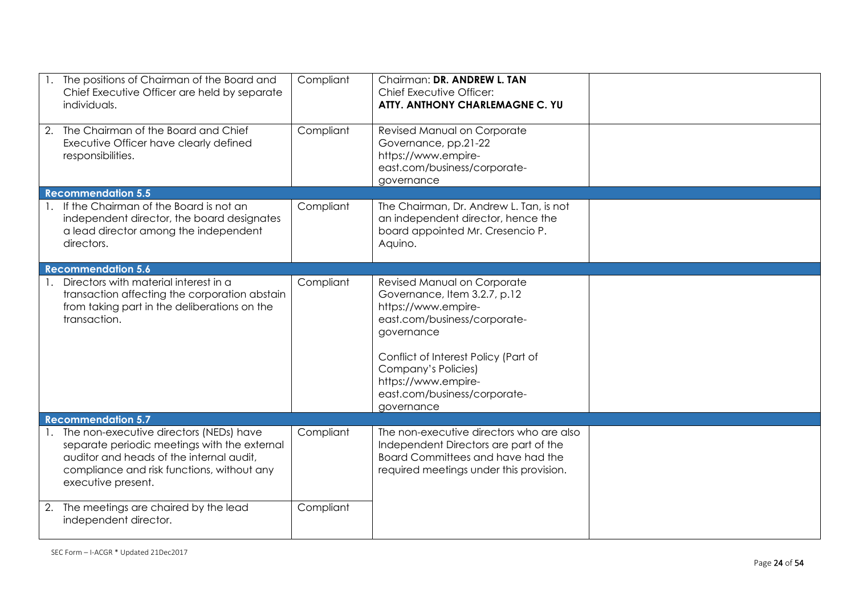| 1. The positions of Chairman of the Board and<br>Chief Executive Officer are held by separate<br>individuals.                                                                                              | Compliant | Chairman: DR. ANDREW L. TAN<br>Chief Executive Officer:<br>ATTY. ANTHONY CHARLEMAGNE C. YU                                                                                                                                                                           |  |
|------------------------------------------------------------------------------------------------------------------------------------------------------------------------------------------------------------|-----------|----------------------------------------------------------------------------------------------------------------------------------------------------------------------------------------------------------------------------------------------------------------------|--|
| 2. The Chairman of the Board and Chief<br>Executive Officer have clearly defined<br>responsibilities.                                                                                                      | Compliant | Revised Manual on Corporate<br>Governance, pp.21-22<br>https://www.empire-<br>east.com/business/corporate-<br>governance                                                                                                                                             |  |
| <b>Recommendation 5.5</b>                                                                                                                                                                                  |           |                                                                                                                                                                                                                                                                      |  |
| 1. If the Chairman of the Board is not an<br>independent director, the board designates<br>a lead director among the independent<br>directors.                                                             | Compliant | The Chairman, Dr. Andrew L. Tan, is not<br>an independent director, hence the<br>board appointed Mr. Cresencio P.<br>Aquino.                                                                                                                                         |  |
| <b>Recommendation 5.6</b>                                                                                                                                                                                  |           |                                                                                                                                                                                                                                                                      |  |
| Directors with material interest in a<br>transaction affecting the corporation abstain<br>from taking part in the deliberations on the<br>transaction.                                                     | Compliant | Revised Manual on Corporate<br>Governance, Item 3.2.7, p.12<br>https://www.empire-<br>east.com/business/corporate-<br>governance<br>Conflict of Interest Policy (Part of<br>Company's Policies)<br>https://www.empire-<br>east.com/business/corporate-<br>governance |  |
| <b>Recommendation 5.7</b>                                                                                                                                                                                  |           |                                                                                                                                                                                                                                                                      |  |
| 1. The non-executive directors (NEDs) have<br>separate periodic meetings with the external<br>auditor and heads of the internal audit,<br>compliance and risk functions, without any<br>executive present. | Compliant | The non-executive directors who are also<br>Independent Directors are part of the<br>Board Committees and have had the<br>required meetings under this provision.                                                                                                    |  |
| 2. The meetings are chaired by the lead<br>independent director.                                                                                                                                           | Compliant |                                                                                                                                                                                                                                                                      |  |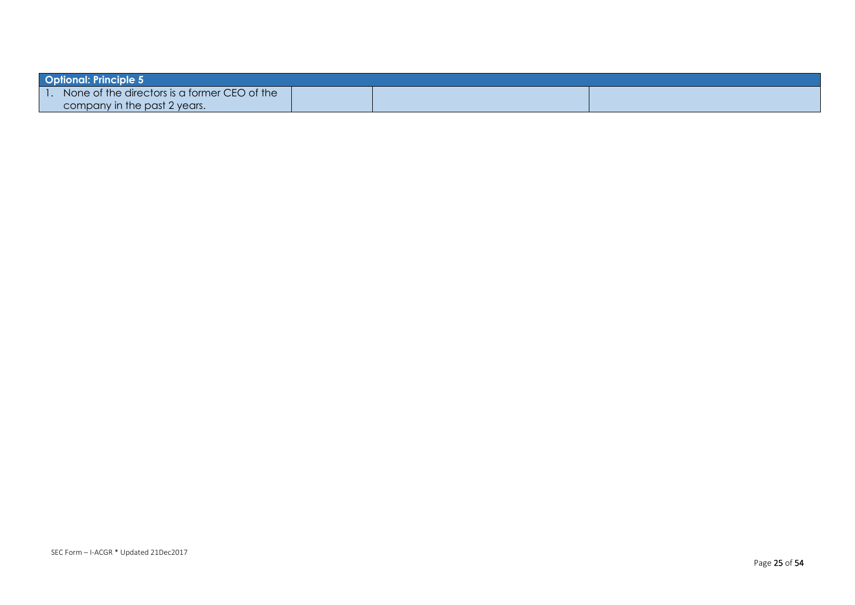| <b>Optional: Principle 5</b>                 |  |  |  |  |  |
|----------------------------------------------|--|--|--|--|--|
| None of the directors is a former CEO of the |  |  |  |  |  |
| company in the past 2 years.                 |  |  |  |  |  |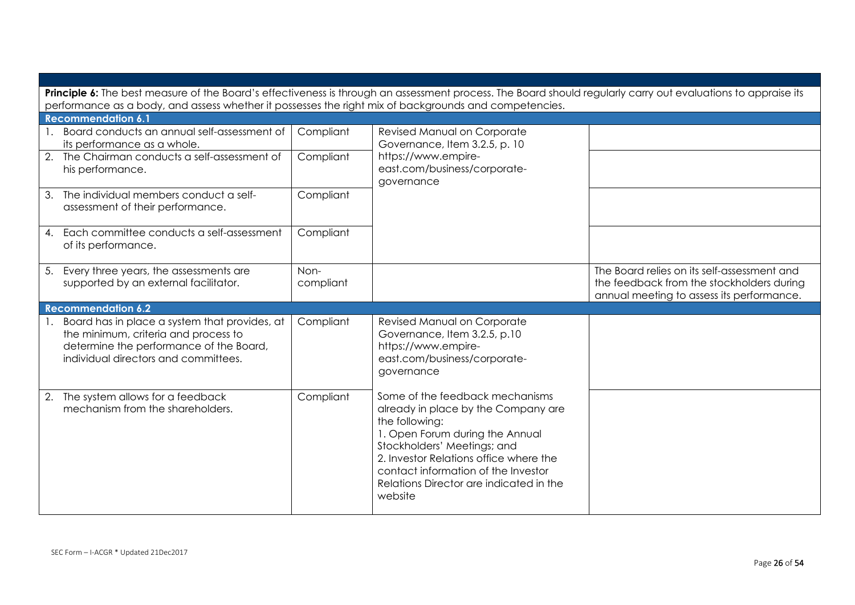|    | Principle 6: The best measure of the Board's effectiveness is through an assessment process. The Board should regularly carry out evaluations to appraise its<br>performance as a body, and assess whether it possesses the right mix of backgrounds and competencies. |                   |                                                                                                                                                                                                                                                                                                   |                                                                                                                                       |  |
|----|------------------------------------------------------------------------------------------------------------------------------------------------------------------------------------------------------------------------------------------------------------------------|-------------------|---------------------------------------------------------------------------------------------------------------------------------------------------------------------------------------------------------------------------------------------------------------------------------------------------|---------------------------------------------------------------------------------------------------------------------------------------|--|
|    | <b>Recommendation 6.1</b>                                                                                                                                                                                                                                              |                   |                                                                                                                                                                                                                                                                                                   |                                                                                                                                       |  |
|    | Board conducts an annual self-assessment of<br>its performance as a whole.                                                                                                                                                                                             | Compliant         | Revised Manual on Corporate<br>Governance, Item 3.2.5, p. 10                                                                                                                                                                                                                                      |                                                                                                                                       |  |
|    | 2. The Chairman conducts a self-assessment of<br>his performance.                                                                                                                                                                                                      | Compliant         | https://www.empire-<br>east.com/business/corporate-<br>governance                                                                                                                                                                                                                                 |                                                                                                                                       |  |
| 3. | The individual members conduct a self-<br>assessment of their performance.                                                                                                                                                                                             | Compliant         |                                                                                                                                                                                                                                                                                                   |                                                                                                                                       |  |
|    | 4. Each committee conducts a self-assessment<br>of its performance.                                                                                                                                                                                                    | Compliant         |                                                                                                                                                                                                                                                                                                   |                                                                                                                                       |  |
| 5. | Every three years, the assessments are<br>supported by an external facilitator.                                                                                                                                                                                        | Non-<br>compliant |                                                                                                                                                                                                                                                                                                   | The Board relies on its self-assessment and<br>the feedback from the stockholders during<br>annual meeting to assess its performance. |  |
|    | <b>Recommendation 6.2</b>                                                                                                                                                                                                                                              |                   |                                                                                                                                                                                                                                                                                                   |                                                                                                                                       |  |
|    | Board has in place a system that provides, at<br>the minimum, criteria and process to<br>determine the performance of the Board,<br>individual directors and committees.                                                                                               | Compliant         | Revised Manual on Corporate<br>Governance, Item 3.2.5, p.10<br>https://www.empire-<br>east.com/business/corporate-<br>governance                                                                                                                                                                  |                                                                                                                                       |  |
|    | 2. The system allows for a feedback<br>mechanism from the shareholders.                                                                                                                                                                                                | Compliant         | Some of the feedback mechanisms<br>already in place by the Company are<br>the following:<br>1. Open Forum during the Annual<br>Stockholders' Meetings; and<br>2. Investor Relations office where the<br>contact information of the Investor<br>Relations Director are indicated in the<br>website |                                                                                                                                       |  |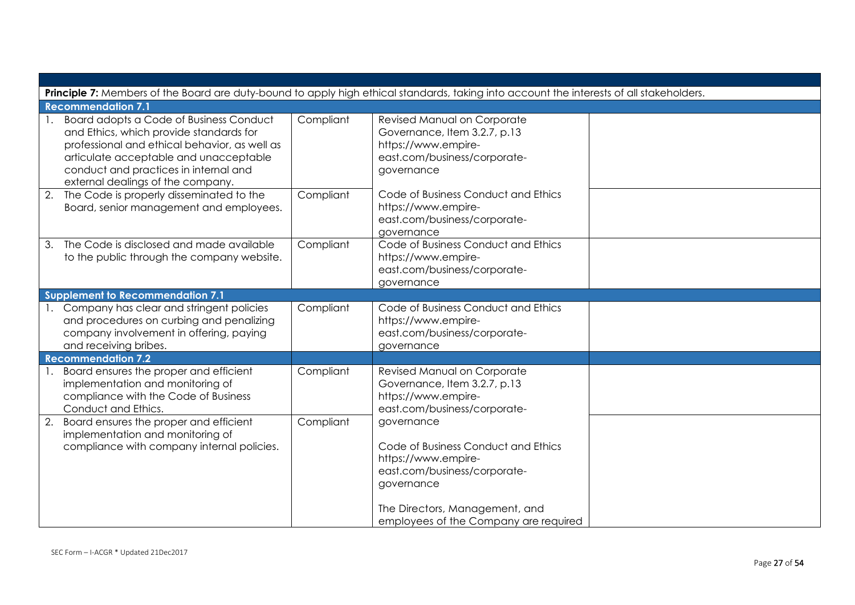| Principle 7: Members of the Board are duty-bound to apply high ethical standards, taking into account the interests of all stakeholders.                                                                                                                    |           |                                                                                                                                                                                                   |  |  |
|-------------------------------------------------------------------------------------------------------------------------------------------------------------------------------------------------------------------------------------------------------------|-----------|---------------------------------------------------------------------------------------------------------------------------------------------------------------------------------------------------|--|--|
|                                                                                                                                                                                                                                                             |           |                                                                                                                                                                                                   |  |  |
| <b>Recommendation 7.1</b>                                                                                                                                                                                                                                   |           |                                                                                                                                                                                                   |  |  |
| Board adopts a Code of Business Conduct<br>and Ethics, which provide standards for<br>professional and ethical behavior, as well as<br>articulate acceptable and unacceptable<br>conduct and practices in internal and<br>external dealings of the company. | Compliant | Revised Manual on Corporate<br>Governance, Item 3.2.7, p.13<br>https://www.empire-<br>east.com/business/corporate-<br>governance                                                                  |  |  |
| 2.<br>The Code is properly disseminated to the<br>Board, senior management and employees.                                                                                                                                                                   | Compliant | Code of Business Conduct and Ethics<br>https://www.empire-<br>east.com/business/corporate-<br>governance                                                                                          |  |  |
| The Code is disclosed and made available<br>3.<br>to the public through the company website.                                                                                                                                                                | Compliant | Code of Business Conduct and Ethics<br>https://www.empire-<br>east.com/business/corporate-<br>governance                                                                                          |  |  |
| <b>Supplement to Recommendation 7.1</b>                                                                                                                                                                                                                     |           |                                                                                                                                                                                                   |  |  |
| 1. Company has clear and stringent policies<br>and procedures on curbing and penalizing<br>company involvement in offering, paying<br>and receiving bribes.                                                                                                 | Compliant | Code of Business Conduct and Ethics<br>https://www.empire-<br>east.com/business/corporate-<br>governance                                                                                          |  |  |
| <b>Recommendation 7.2</b>                                                                                                                                                                                                                                   |           |                                                                                                                                                                                                   |  |  |
| Board ensures the proper and efficient<br>implementation and monitoring of<br>compliance with the Code of Business<br>Conduct and Ethics.                                                                                                                   | Compliant | Revised Manual on Corporate<br>Governance, Item 3.2.7, p.13<br>https://www.empire-<br>east.com/business/corporate-                                                                                |  |  |
| Board ensures the proper and efficient<br>2.<br>implementation and monitoring of<br>compliance with company internal policies.                                                                                                                              | Compliant | governance<br>Code of Business Conduct and Ethics<br>https://www.empire-<br>east.com/business/corporate-<br>governance<br>The Directors, Management, and<br>employees of the Company are required |  |  |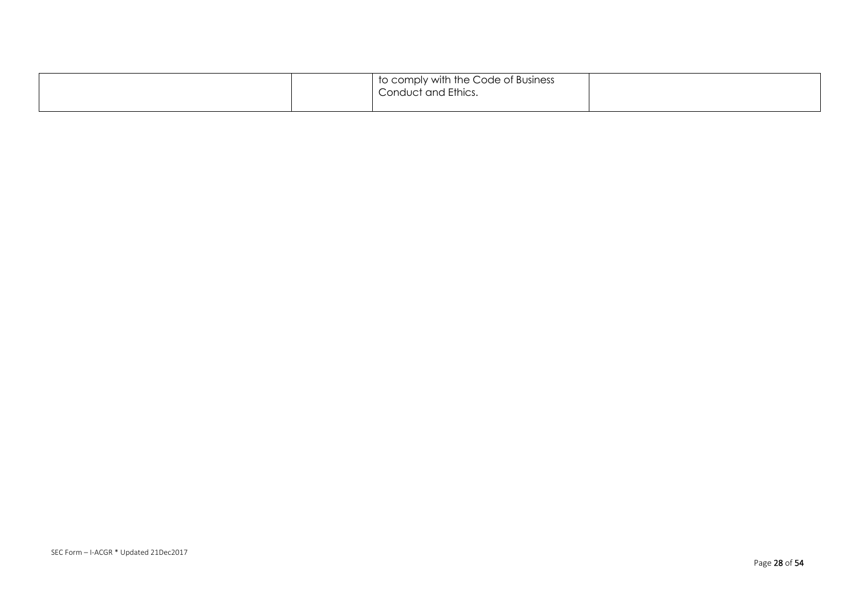|  | to comply with the Code of Business<br>Conduct and Ethics. |  |
|--|------------------------------------------------------------|--|
|  |                                                            |  |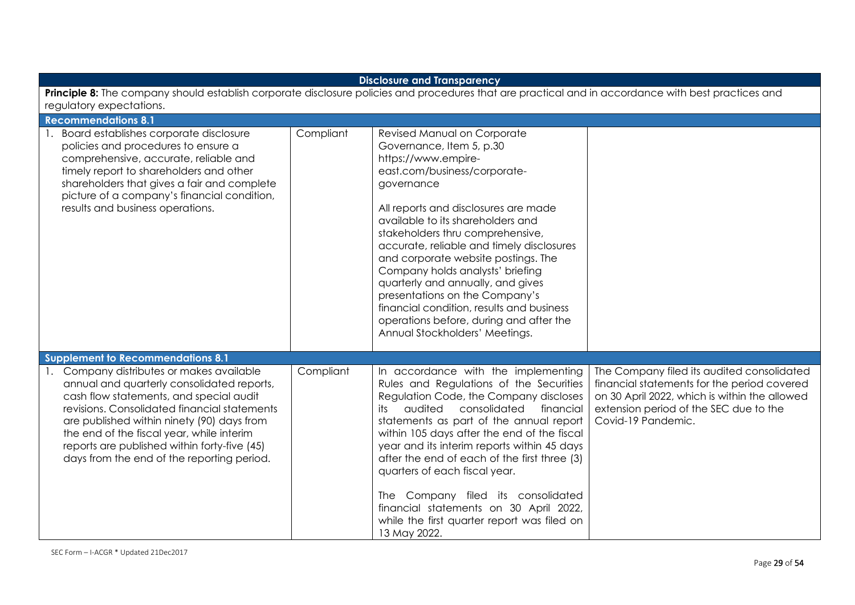| <b>Disclosure and Transparency</b>                                                                                                                                                                                                                                                                                                                                          |           |                                                                                                                                                                                                                                                                                                                                                                                                                                                                                                                                                                        |                                                                                                                                                                                                            |  |
|-----------------------------------------------------------------------------------------------------------------------------------------------------------------------------------------------------------------------------------------------------------------------------------------------------------------------------------------------------------------------------|-----------|------------------------------------------------------------------------------------------------------------------------------------------------------------------------------------------------------------------------------------------------------------------------------------------------------------------------------------------------------------------------------------------------------------------------------------------------------------------------------------------------------------------------------------------------------------------------|------------------------------------------------------------------------------------------------------------------------------------------------------------------------------------------------------------|--|
| Principle 8: The company should establish corporate disclosure policies and procedures that are practical and in accordance with best practices and<br>regulatory expectations.                                                                                                                                                                                             |           |                                                                                                                                                                                                                                                                                                                                                                                                                                                                                                                                                                        |                                                                                                                                                                                                            |  |
| <b>Recommendations 8.1</b>                                                                                                                                                                                                                                                                                                                                                  |           |                                                                                                                                                                                                                                                                                                                                                                                                                                                                                                                                                                        |                                                                                                                                                                                                            |  |
| Board establishes corporate disclosure<br>policies and procedures to ensure a<br>comprehensive, accurate, reliable and<br>timely report to shareholders and other<br>shareholders that gives a fair and complete<br>picture of a company's financial condition,<br>results and business operations.<br><b>Supplement to Recommendations 8.1</b>                             | Compliant | Revised Manual on Corporate<br>Governance, Item 5, p.30<br>https://www.empire-<br>east.com/business/corporate-<br>governance<br>All reports and disclosures are made<br>available to its shareholders and<br>stakeholders thru comprehensive,<br>accurate, reliable and timely disclosures<br>and corporate website postings. The<br>Company holds analysts' briefing<br>quarterly and annually, and gives<br>presentations on the Company's<br>financial condition, results and business<br>operations before, during and after the<br>Annual Stockholders' Meetings. |                                                                                                                                                                                                            |  |
| 1. Company distributes or makes available<br>annual and quarterly consolidated reports,<br>cash flow statements, and special audit<br>revisions. Consolidated financial statements<br>are published within ninety (90) days from<br>the end of the fiscal year, while interim<br>reports are published within forty-five (45)<br>days from the end of the reporting period. | Compliant | In accordance with the implementing<br>Rules and Regulations of the Securities<br>Regulation Code, the Company discloses<br>audited<br>consolidated<br>its<br>financial<br>statements as part of the annual report<br>within 105 days after the end of the fiscal<br>year and its interim reports within 45 days<br>after the end of each of the first three (3)<br>quarters of each fiscal year.<br>The Company filed its consolidated<br>financial statements on 30 April 2022,<br>while the first quarter report was filed on<br>13 May 2022.                       | The Company filed its audited consolidated<br>financial statements for the period covered<br>on 30 April 2022, which is within the allowed<br>extension period of the SEC due to the<br>Covid-19 Pandemic. |  |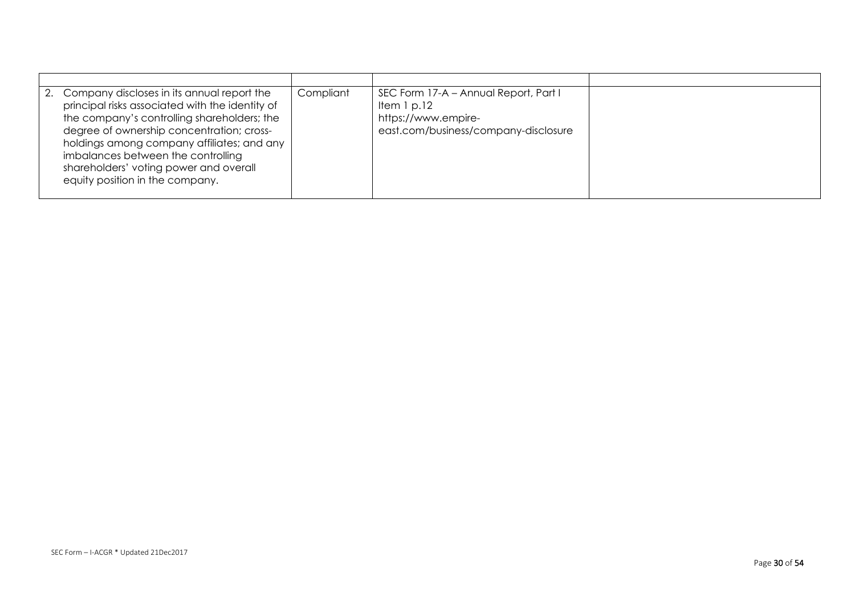| 2. Company discloses in its annual report the<br>principal risks associated with the identity of<br>the company's controlling shareholders; the<br>degree of ownership concentration; cross-<br>holdings among company affiliates; and any<br>imbalances between the controlling<br>shareholders' voting power and overall<br>equity position in the company. | Compliant | SEC Form 17-A - Annual Report, Part I<br>Item $1$ p.12<br>https://www.empire-<br>east.com/business/company-disclosure |  |
|---------------------------------------------------------------------------------------------------------------------------------------------------------------------------------------------------------------------------------------------------------------------------------------------------------------------------------------------------------------|-----------|-----------------------------------------------------------------------------------------------------------------------|--|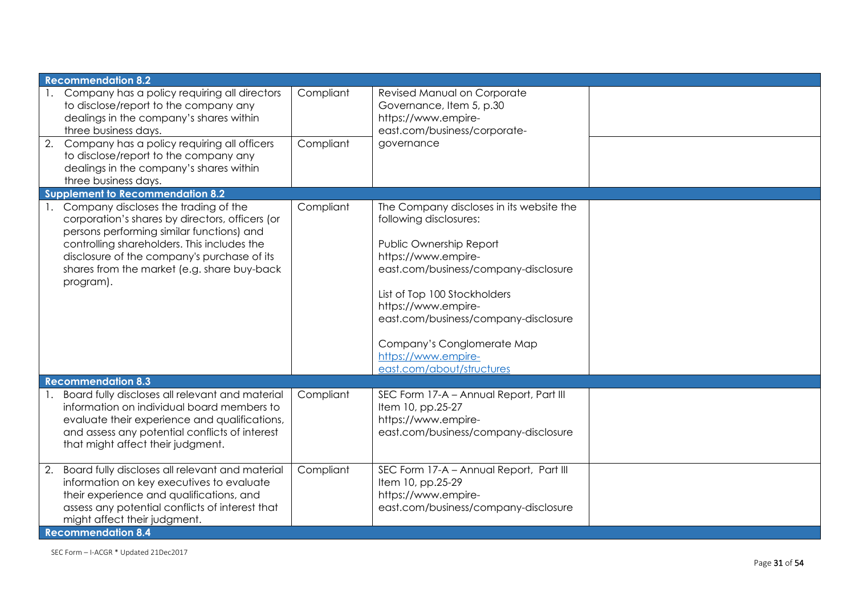| <b>Recommendation 8.2</b>                                                                                                                                                                                                                                                                                        |           |                                                                                                                                                                                                                                                                                                                                               |  |
|------------------------------------------------------------------------------------------------------------------------------------------------------------------------------------------------------------------------------------------------------------------------------------------------------------------|-----------|-----------------------------------------------------------------------------------------------------------------------------------------------------------------------------------------------------------------------------------------------------------------------------------------------------------------------------------------------|--|
| Company has a policy requiring all directors<br>to disclose/report to the company any<br>dealings in the company's shares within<br>three business days.                                                                                                                                                         | Compliant | Revised Manual on Corporate<br>Governance, Item 5, p.30<br>https://www.empire-<br>east.com/business/corporate-                                                                                                                                                                                                                                |  |
| 2.<br>Company has a policy requiring all officers<br>to disclose/report to the company any<br>dealings in the company's shares within<br>three business days.                                                                                                                                                    | Compliant | governance                                                                                                                                                                                                                                                                                                                                    |  |
| <b>Supplement to Recommendation 8.2</b>                                                                                                                                                                                                                                                                          |           |                                                                                                                                                                                                                                                                                                                                               |  |
| Company discloses the trading of the<br>$\mathbf{1}$ .<br>corporation's shares by directors, officers (or<br>persons performing similar functions) and<br>controlling shareholders. This includes the<br>disclosure of the company's purchase of its<br>shares from the market (e.g. share buy-back<br>program). | Compliant | The Company discloses in its website the<br>following disclosures:<br>Public Ownership Report<br>https://www.empire-<br>east.com/business/company-disclosure<br>List of Top 100 Stockholders<br>https://www.empire-<br>east.com/business/company-disclosure<br>Company's Conglomerate Map<br>https://www.empire-<br>east.com/about/structures |  |
| <b>Recommendation 8.3</b>                                                                                                                                                                                                                                                                                        |           |                                                                                                                                                                                                                                                                                                                                               |  |
| Board fully discloses all relevant and material<br>information on individual board members to<br>evaluate their experience and qualifications,<br>and assess any potential conflicts of interest<br>that might affect their judgment.                                                                            | Compliant | SEC Form 17-A - Annual Report, Part III<br>Item 10, pp.25-27<br>https://www.empire-<br>east.com/business/company-disclosure                                                                                                                                                                                                                   |  |
| Board fully discloses all relevant and material<br>2.<br>information on key executives to evaluate<br>their experience and qualifications, and<br>assess any potential conflicts of interest that<br>might affect their judgment.<br><b>Recommendation 8.4</b>                                                   | Compliant | SEC Form 17-A - Annual Report, Part III<br>Item 10, pp.25-29<br>https://www.empire-<br>east.com/business/company-disclosure                                                                                                                                                                                                                   |  |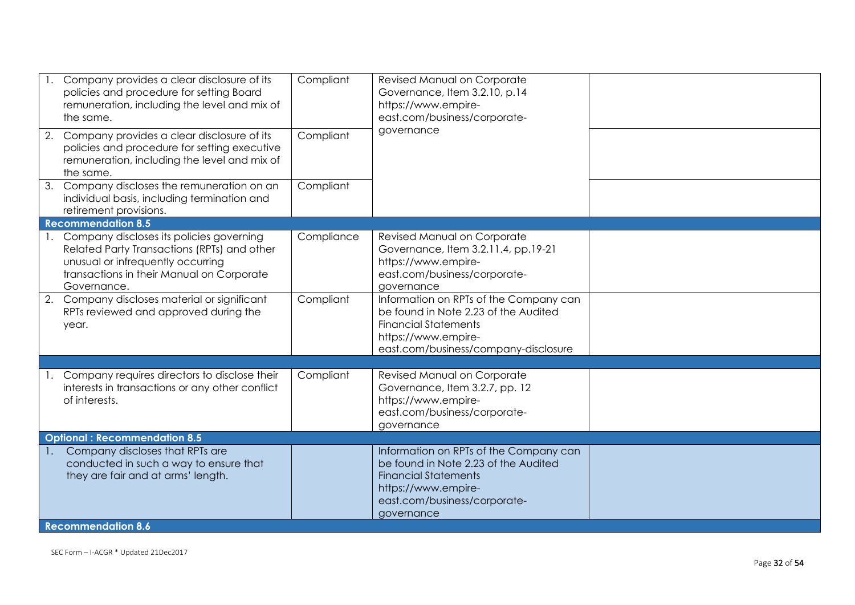|                | Company provides a clear disclosure of its<br>policies and procedure for setting Board<br>remuneration, including the level and mix of<br>the same.                                         | Compliant  | Revised Manual on Corporate<br>Governance, Item 3.2.10, p.14<br>https://www.empire-<br>east.com/business/corporate-                                                                |  |
|----------------|---------------------------------------------------------------------------------------------------------------------------------------------------------------------------------------------|------------|------------------------------------------------------------------------------------------------------------------------------------------------------------------------------------|--|
| 2.             | Company provides a clear disclosure of its<br>policies and procedure for setting executive<br>remuneration, including the level and mix of<br>the same.                                     | Compliant  | governance                                                                                                                                                                         |  |
|                | 3. Company discloses the remuneration on an<br>individual basis, including termination and<br>retirement provisions.                                                                        | Compliant  |                                                                                                                                                                                    |  |
|                | <b>Recommendation 8.5</b>                                                                                                                                                                   |            |                                                                                                                                                                                    |  |
|                | 1. Company discloses its policies governing<br>Related Party Transactions (RPTs) and other<br>unusual or infrequently occurring<br>transactions in their Manual on Corporate<br>Governance. | Compliance | Revised Manual on Corporate<br>Governance, Item 3.2.11.4, pp.19-21<br>https://www.empire-<br>east.com/business/corporate-<br>governance                                            |  |
|                | 2. Company discloses material or significant<br>RPTs reviewed and approved during the<br>year.                                                                                              | Compliant  | Information on RPTs of the Company can<br>be found in Note 2.23 of the Audited<br><b>Financial Statements</b><br>https://www.empire-<br>east.com/business/company-disclosure       |  |
|                |                                                                                                                                                                                             |            |                                                                                                                                                                                    |  |
|                | Company requires directors to disclose their<br>interests in transactions or any other conflict<br>of interests.                                                                            | Compliant  | Revised Manual on Corporate<br>Governance, Item 3.2.7, pp. 12<br>https://www.empire-<br>east.com/business/corporate-<br>governance                                                 |  |
|                | <b>Optional: Recommendation 8.5</b>                                                                                                                                                         |            |                                                                                                                                                                                    |  |
| $\mathbf{1}$ . | Company discloses that RPTs are<br>conducted in such a way to ensure that<br>they are fair and at arms' length.                                                                             |            | Information on RPTs of the Company can<br>be found in Note 2.23 of the Audited<br><b>Financial Statements</b><br>https://www.empire-<br>east.com/business/corporate-<br>governance |  |
|                | <b>Recommendation 8.6</b>                                                                                                                                                                   |            |                                                                                                                                                                                    |  |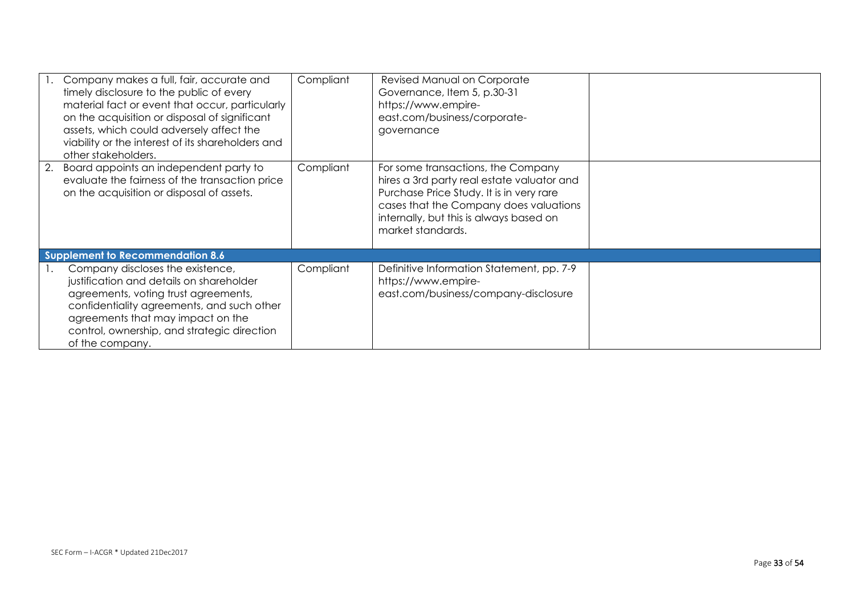| Company makes a full, fair, accurate and<br>timely disclosure to the public of every<br>material fact or event that occur, particularly<br>on the acquisition or disposal of significant<br>assets, which could adversely affect the<br>viability or the interest of its shareholders and<br>other stakeholders. | Compliant | Revised Manual on Corporate<br>Governance, Item 5, p.30-31<br>https://www.empire-<br>east.com/business/corporate-<br>governance                                                                                                        |  |
|------------------------------------------------------------------------------------------------------------------------------------------------------------------------------------------------------------------------------------------------------------------------------------------------------------------|-----------|----------------------------------------------------------------------------------------------------------------------------------------------------------------------------------------------------------------------------------------|--|
| 2. Board appoints an independent party to<br>evaluate the fairness of the transaction price<br>on the acquisition or disposal of assets.                                                                                                                                                                         | Compliant | For some transactions, the Company<br>hires a 3rd party real estate valuator and<br>Purchase Price Study. It is in very rare<br>cases that the Company does valuations<br>internally, but this is always based on<br>market standards. |  |
| Supplement to Recommendation 8.6                                                                                                                                                                                                                                                                                 |           |                                                                                                                                                                                                                                        |  |
| Company discloses the existence,<br>justification and details on shareholder<br>agreements, voting trust agreements,<br>confidentiality agreements, and such other<br>agreements that may impact on the<br>control, ownership, and strategic direction<br>of the company.                                        | Compliant | Definitive Information Statement, pp. 7-9<br>https://www.empire-<br>east.com/business/company-disclosure                                                                                                                               |  |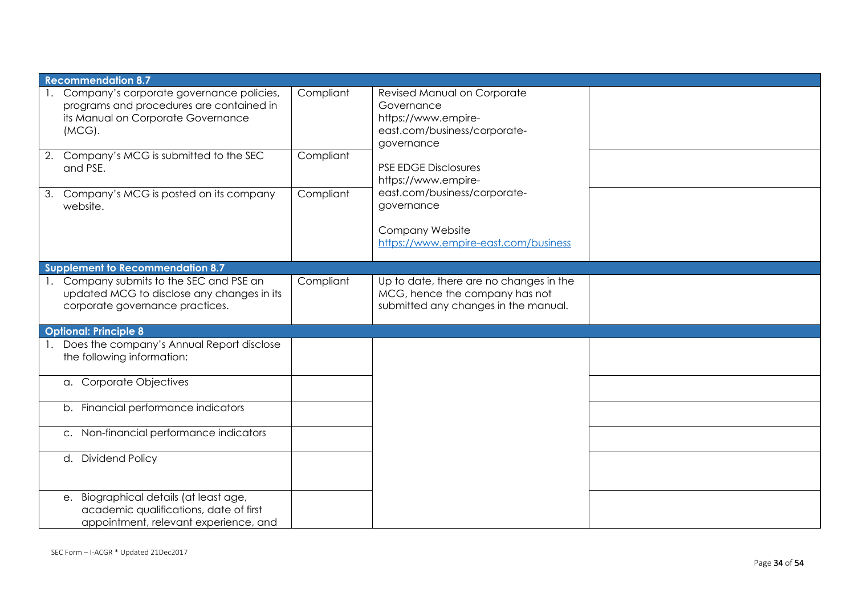| <b>Recommendation 8.7</b>                                                                                                                  |           |                                                                                                                   |  |
|--------------------------------------------------------------------------------------------------------------------------------------------|-----------|-------------------------------------------------------------------------------------------------------------------|--|
| 1. Company's corporate governance policies,<br>programs and procedures are contained in<br>its Manual on Corporate Governance<br>$(MCG)$ . | Compliant | Revised Manual on Corporate<br>Governance<br>https://www.empire-<br>east.com/business/corporate-<br>governance    |  |
| 2. Company's MCG is submitted to the SEC<br>and PSE.                                                                                       | Compliant | <b>PSE EDGE Disclosures</b><br>https://www.empire-                                                                |  |
| 3. Company's MCG is posted on its company<br>website.                                                                                      | Compliant | east.com/business/corporate-<br>governance                                                                        |  |
|                                                                                                                                            |           | Company Website<br>https://www.empire-east.com/business                                                           |  |
| <b>Supplement to Recommendation 8.7</b>                                                                                                    |           |                                                                                                                   |  |
| 1. Company submits to the SEC and PSE an<br>updated MCG to disclose any changes in its<br>corporate governance practices.                  | Compliant | Up to date, there are no changes in the<br>MCG, hence the company has not<br>submitted any changes in the manual. |  |
| <b>Optional: Principle 8</b>                                                                                                               |           |                                                                                                                   |  |
| Does the company's Annual Report disclose<br>the following information:                                                                    |           |                                                                                                                   |  |
| a. Corporate Objectives                                                                                                                    |           |                                                                                                                   |  |
| b. Financial performance indicators                                                                                                        |           |                                                                                                                   |  |
| c. Non-financial performance indicators                                                                                                    |           |                                                                                                                   |  |
| d. Dividend Policy                                                                                                                         |           |                                                                                                                   |  |
| Biographical details (at least age,<br>e.<br>academic qualifications, date of first<br>appointment, relevant experience, and               |           |                                                                                                                   |  |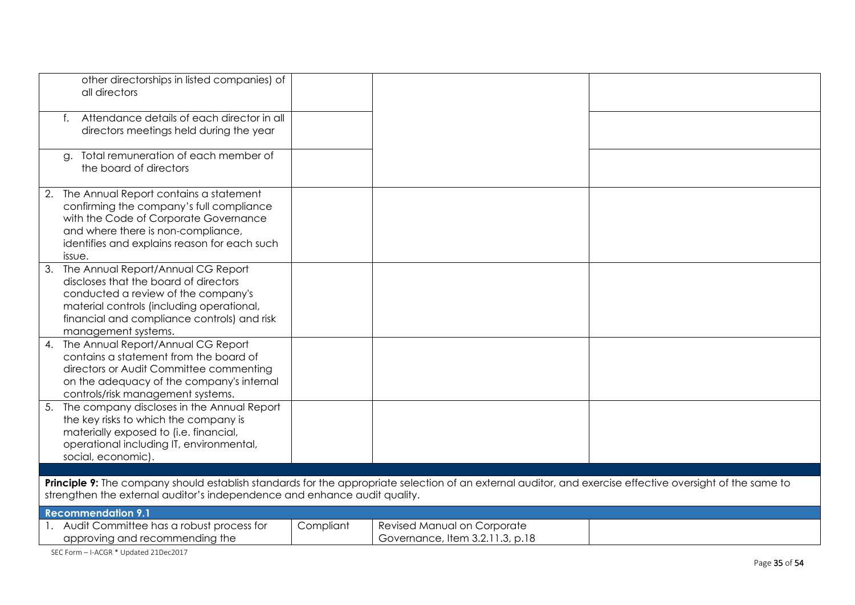| $\mathsf{t}$ . | other directorships in listed companies) of<br>all directors<br>Attendance details of each director in all<br>directors meetings held during the year                                                                                  |           |                                                                |  |
|----------------|----------------------------------------------------------------------------------------------------------------------------------------------------------------------------------------------------------------------------------------|-----------|----------------------------------------------------------------|--|
| a.             | Total remuneration of each member of<br>the board of directors                                                                                                                                                                         |           |                                                                |  |
|                | 2. The Annual Report contains a statement<br>confirming the company's full compliance<br>with the Code of Corporate Governance<br>and where there is non-compliance,<br>identifies and explains reason for each such<br>issue.         |           |                                                                |  |
| 3.             | The Annual Report/Annual CG Report<br>discloses that the board of directors<br>conducted a review of the company's<br>material controls (including operational,<br>financial and compliance controls) and risk<br>management systems.  |           |                                                                |  |
| 4.             | The Annual Report/Annual CG Report<br>contains a statement from the board of<br>directors or Audit Committee commenting<br>on the adequacy of the company's internal<br>controls/risk management systems.                              |           |                                                                |  |
|                | 5. The company discloses in the Annual Report<br>the key risks to which the company is<br>materially exposed to (i.e. financial,<br>operational including IT, environmental,<br>social, economic).                                     |           |                                                                |  |
|                |                                                                                                                                                                                                                                        |           |                                                                |  |
|                | Principle 9: The company should establish standards for the appropriate selection of an external auditor, and exercise effective oversight of the same to<br>strengthen the external auditor's independence and enhance audit quality. |           |                                                                |  |
|                | <b>Recommendation 9.1</b>                                                                                                                                                                                                              |           |                                                                |  |
|                | 1. Audit Committee has a robust process for<br>approving and recommending the                                                                                                                                                          | Compliant | Revised Manual on Corporate<br>Governance, Item 3.2.11.3, p.18 |  |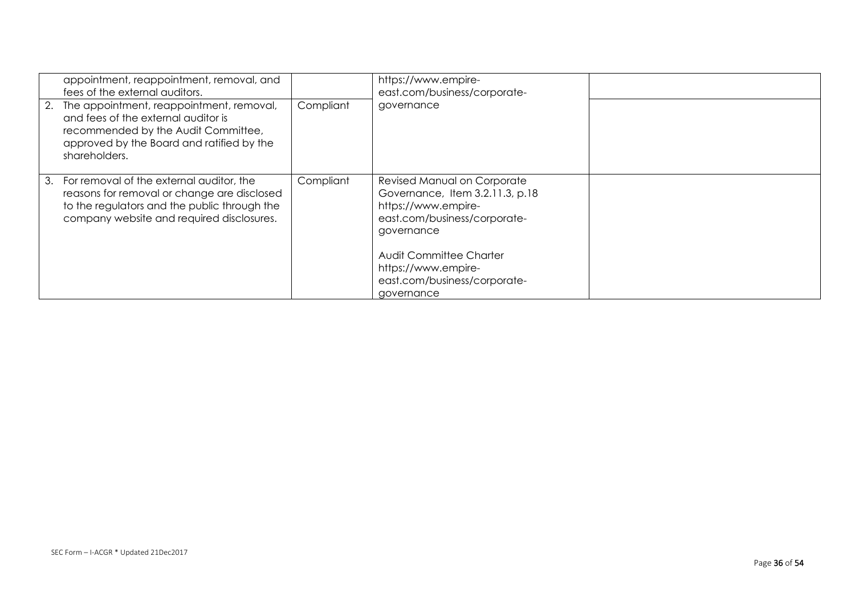|    | appointment, reappointment, removal, and<br>fees of the external auditors.<br>2. The appointment, reappointment, removal,<br>and fees of the external auditor is<br>recommended by the Audit Committee,<br>approved by the Board and ratified by the<br>shareholders. | Compliant | https://www.empire-<br>east.com/business/corporate-<br>governance                                                                                                                                                                   |  |
|----|-----------------------------------------------------------------------------------------------------------------------------------------------------------------------------------------------------------------------------------------------------------------------|-----------|-------------------------------------------------------------------------------------------------------------------------------------------------------------------------------------------------------------------------------------|--|
| 3. | For removal of the external auditor, the<br>reasons for removal or change are disclosed<br>to the regulators and the public through the<br>company website and required disclosures.                                                                                  | Compliant | Revised Manual on Corporate<br>Governance, Item 3.2.11.3, p.18<br>https://www.empire-<br>east.com/business/corporate-<br>governance<br>Audit Committee Charter<br>https://www.empire-<br>east.com/business/corporate-<br>governance |  |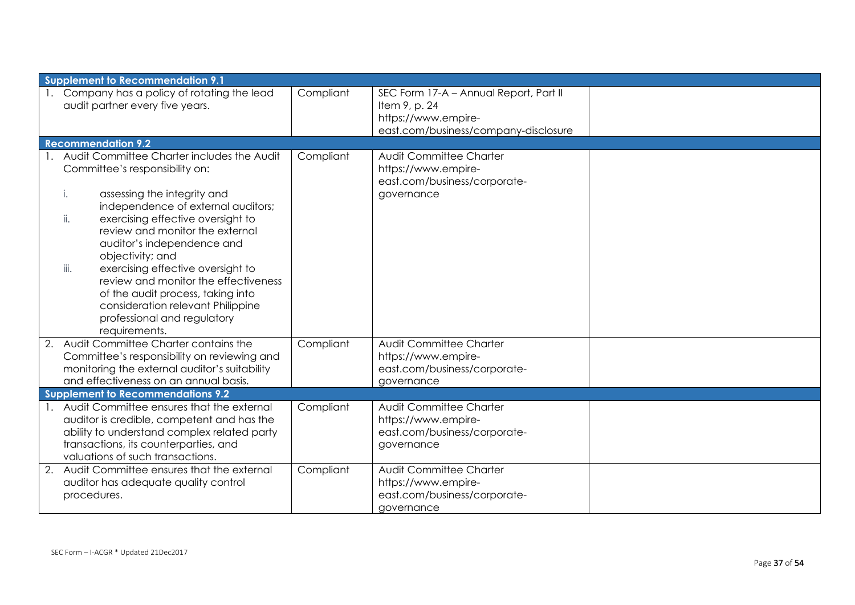| <b>Supplement to Recommendation 9.1</b>                                                                                                                                                                                                                                                                                                                                                                                                                                                                    |           |                                                                                                                        |  |
|------------------------------------------------------------------------------------------------------------------------------------------------------------------------------------------------------------------------------------------------------------------------------------------------------------------------------------------------------------------------------------------------------------------------------------------------------------------------------------------------------------|-----------|------------------------------------------------------------------------------------------------------------------------|--|
| 1. Company has a policy of rotating the lead<br>audit partner every five years.                                                                                                                                                                                                                                                                                                                                                                                                                            | Compliant | SEC Form 17-A - Annual Report, Part II<br>Item 9, p. 24<br>https://www.empire-<br>east.com/business/company-disclosure |  |
| <b>Recommendation 9.2</b>                                                                                                                                                                                                                                                                                                                                                                                                                                                                                  |           |                                                                                                                        |  |
| 1. Audit Committee Charter includes the Audit<br>Committee's responsibility on:<br>assessing the integrity and<br>i.<br>independence of external auditors;<br>ii.<br>exercising effective oversight to<br>review and monitor the external<br>auditor's independence and<br>objectivity; and<br>iii.<br>exercising effective oversight to<br>review and monitor the effectiveness<br>of the audit process, taking into<br>consideration relevant Philippine<br>professional and regulatory<br>requirements. | Compliant | Audit Committee Charter<br>https://www.empire-<br>east.com/business/corporate-<br>governance                           |  |
| 2. Audit Committee Charter contains the<br>Committee's responsibility on reviewing and<br>monitoring the external auditor's suitability<br>and effectiveness on an annual basis.                                                                                                                                                                                                                                                                                                                           | Compliant | <b>Audit Committee Charter</b><br>https://www.empire-<br>east.com/business/corporate-<br>governance                    |  |
| <b>Supplement to Recommendations 9.2</b>                                                                                                                                                                                                                                                                                                                                                                                                                                                                   |           |                                                                                                                        |  |
| 1. Audit Committee ensures that the external<br>auditor is credible, competent and has the<br>ability to understand complex related party<br>transactions, its counterparties, and<br>valuations of such transactions.                                                                                                                                                                                                                                                                                     | Compliant | Audit Committee Charter<br>https://www.empire-<br>east.com/business/corporate-<br>governance                           |  |
| 2. Audit Committee ensures that the external<br>auditor has adequate quality control<br>procedures.                                                                                                                                                                                                                                                                                                                                                                                                        | Compliant | Audit Committee Charter<br>https://www.empire-<br>east.com/business/corporate-<br>governance                           |  |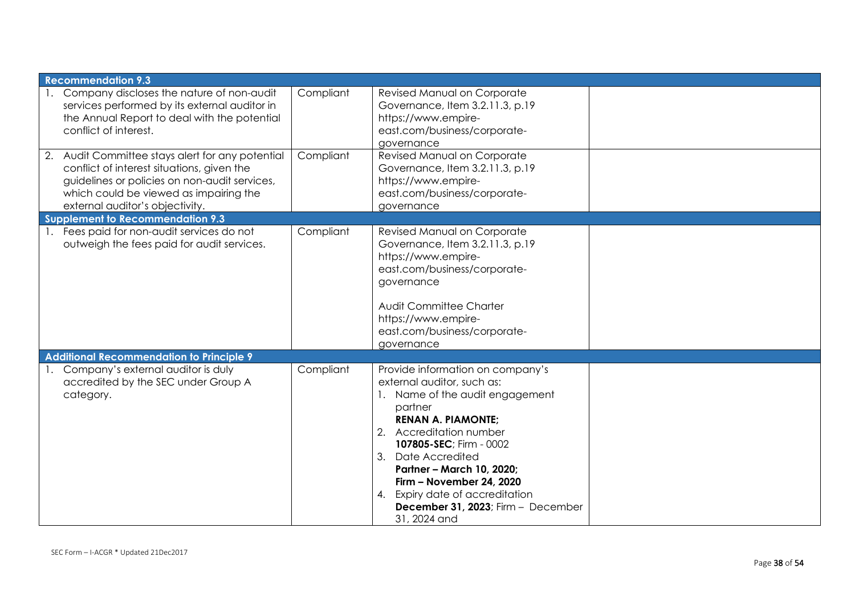| <b>Recommendation 9.3</b>                                                                                                                                                                                                    |           |                                                                                                                                                                                                                                                                                                                                                                            |  |
|------------------------------------------------------------------------------------------------------------------------------------------------------------------------------------------------------------------------------|-----------|----------------------------------------------------------------------------------------------------------------------------------------------------------------------------------------------------------------------------------------------------------------------------------------------------------------------------------------------------------------------------|--|
| 1. Company discloses the nature of non-audit<br>services performed by its external auditor in<br>the Annual Report to deal with the potential<br>conflict of interest.                                                       | Compliant | Revised Manual on Corporate<br>Governance, Item 3.2.11.3, p.19<br>https://www.empire-<br>east.com/business/corporate-<br>governance                                                                                                                                                                                                                                        |  |
| 2. Audit Committee stays alert for any potential<br>conflict of interest situations, given the<br>guidelines or policies on non-audit services,<br>which could be viewed as impairing the<br>external auditor's objectivity. | Compliant | Revised Manual on Corporate<br>Governance, Item 3.2.11.3, p.19<br>https://www.empire-<br>east.com/business/corporate-<br>governance                                                                                                                                                                                                                                        |  |
| <b>Supplement to Recommendation 9.3</b>                                                                                                                                                                                      |           |                                                                                                                                                                                                                                                                                                                                                                            |  |
| 1. Fees paid for non-audit services do not<br>outweigh the fees paid for audit services.                                                                                                                                     | Compliant | Revised Manual on Corporate<br>Governance, Item 3.2.11.3, p.19<br>https://www.empire-<br>east.com/business/corporate-<br>governance<br>Audit Committee Charter<br>https://www.empire-<br>east.com/business/corporate-<br>governance                                                                                                                                        |  |
| <b>Additional Recommendation to Principle 9</b>                                                                                                                                                                              |           |                                                                                                                                                                                                                                                                                                                                                                            |  |
| 1. Company's external auditor is duly<br>accredited by the SEC under Group A<br>category.                                                                                                                                    | Compliant | Provide information on company's<br>external auditor, such as:<br>1. Name of the audit engagement<br>partner<br><b>RENAN A. PIAMONTE:</b><br>2.<br>Accreditation number<br>107805-SEC; Firm - 0002<br>3. Date Accredited<br>Partner - March 10, 2020;<br>Firm - November 24, 2020<br>4. Expiry date of accreditation<br>December 31, 2023; Firm - December<br>31, 2024 and |  |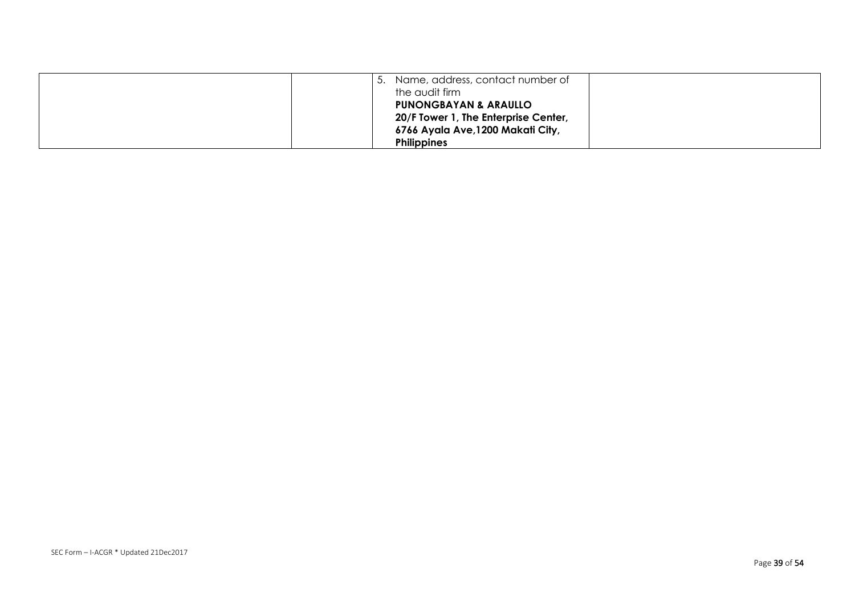| Name, address, contact number of<br>the audit firm<br><b>PUNONGBAYAN &amp; ARAULLO</b><br>20/F Tower 1, The Enterprise Center, |  |
|--------------------------------------------------------------------------------------------------------------------------------|--|
| 6766 Ayala Ave, 1200 Makati City,<br><b>Philippines</b>                                                                        |  |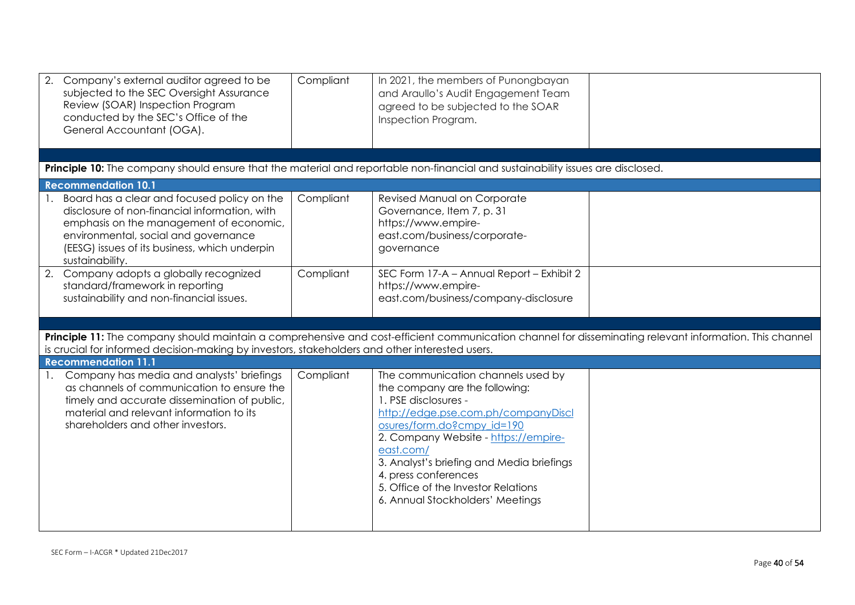|                            | Company's external auditor agreed to be<br>subjected to the SEC Oversight Assurance<br>Review (SOAR) Inspection Program<br>conducted by the SEC's Office of the<br>General Accountant (OGA).                                     | Compliant | In 2021, the members of Punongbayan<br>and Araullo's Audit Engagement Team<br>agreed to be subjected to the SOAR<br>Inspection Program.                                                                                                                                                                                                                                |                                                                                                                                                         |
|----------------------------|----------------------------------------------------------------------------------------------------------------------------------------------------------------------------------------------------------------------------------|-----------|------------------------------------------------------------------------------------------------------------------------------------------------------------------------------------------------------------------------------------------------------------------------------------------------------------------------------------------------------------------------|---------------------------------------------------------------------------------------------------------------------------------------------------------|
|                            |                                                                                                                                                                                                                                  |           | Principle 10: The company should ensure that the material and reportable non-financial and sustainability issues are disclosed.                                                                                                                                                                                                                                        |                                                                                                                                                         |
| <b>Recommendation 10.1</b> |                                                                                                                                                                                                                                  |           |                                                                                                                                                                                                                                                                                                                                                                        |                                                                                                                                                         |
| sustainability.            | Board has a clear and focused policy on the<br>disclosure of non-financial information, with<br>emphasis on the management of economic,<br>environmental, social and governance<br>(EESG) issues of its business, which underpin | Compliant | Revised Manual on Corporate<br>Governance, Item 7, p. 31<br>https://www.empire-<br>east.com/business/corporate-<br>governance                                                                                                                                                                                                                                          |                                                                                                                                                         |
|                            | 2. Company adopts a globally recognized<br>standard/framework in reporting<br>sustainability and non-financial issues.                                                                                                           | Compliant | SEC Form 17-A - Annual Report - Exhibit 2<br>https://www.empire-<br>east.com/business/company-disclosure                                                                                                                                                                                                                                                               |                                                                                                                                                         |
|                            |                                                                                                                                                                                                                                  |           |                                                                                                                                                                                                                                                                                                                                                                        |                                                                                                                                                         |
|                            | is crucial for informed decision-making by investors, stakeholders and other interested users.                                                                                                                                   |           |                                                                                                                                                                                                                                                                                                                                                                        | Principle 11: The company should maintain a comprehensive and cost-efficient communication channel for disseminating relevant information. This channel |
| <b>Recommendation 11.1</b> |                                                                                                                                                                                                                                  |           |                                                                                                                                                                                                                                                                                                                                                                        |                                                                                                                                                         |
|                            | Company has media and analysts' briefings<br>as channels of communication to ensure the<br>timely and accurate dissemination of public,<br>material and relevant information to its<br>shareholders and other investors.         | Compliant | The communication channels used by<br>the company are the following:<br>1. PSE disclosures -<br>http://edge.pse.com.ph/companyDiscl<br>osures/form.do?cmpy id=190<br>2. Company Website - https://empire-<br>east.com/<br>3. Analyst's briefing and Media briefings<br>4. press conferences<br>5. Office of the Investor Relations<br>6. Annual Stockholders' Meetings |                                                                                                                                                         |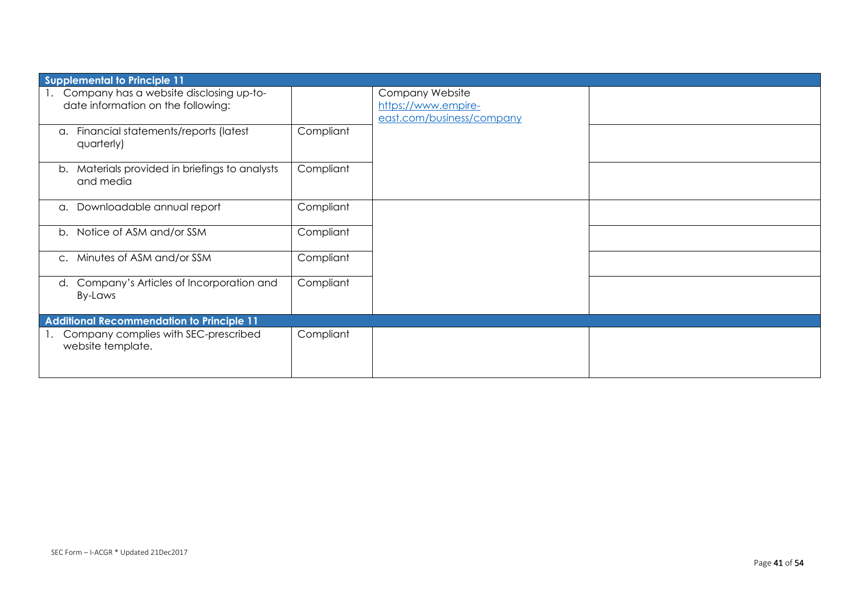| <b>Supplemental to Principle 11</b>                                           |           |                                                                     |  |  |
|-------------------------------------------------------------------------------|-----------|---------------------------------------------------------------------|--|--|
| Company has a website disclosing up-to-<br>date information on the following: |           | Company Website<br>https://www.empire-<br>east.com/business/company |  |  |
| Financial statements/reports (latest<br>a.<br>quarterly)                      | Compliant |                                                                     |  |  |
| Materials provided in briefings to analysts<br>b.<br>and media                | Compliant |                                                                     |  |  |
| Downloadable annual report<br>a.                                              | Compliant |                                                                     |  |  |
| b. Notice of ASM and/or SSM                                                   | Compliant |                                                                     |  |  |
| Minutes of ASM and/or SSM<br>$\mathsf{C}.$                                    | Compliant |                                                                     |  |  |
| Company's Articles of Incorporation and<br>d.<br>By-Laws                      | Compliant |                                                                     |  |  |
| <b>Additional Recommendation to Principle 11</b>                              |           |                                                                     |  |  |
| Company complies with SEC-prescribed<br>website template.                     | Compliant |                                                                     |  |  |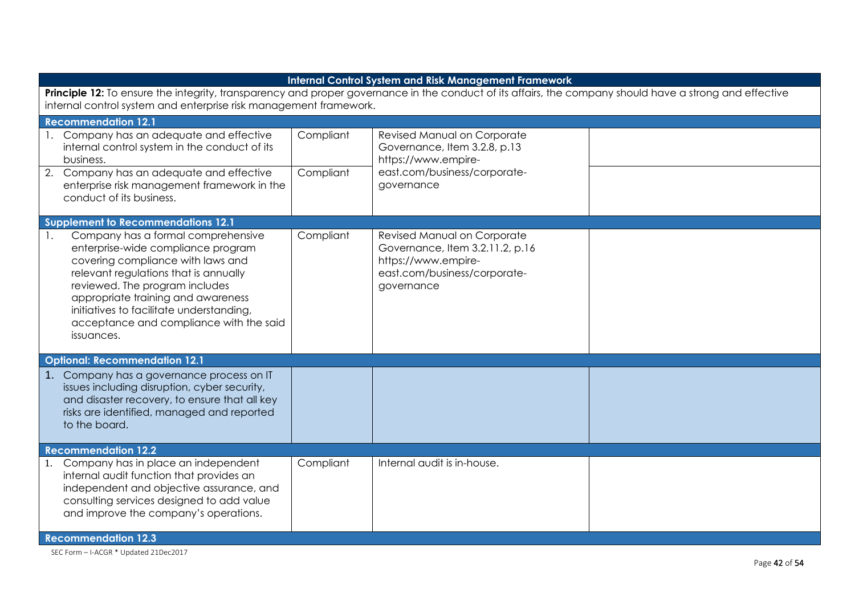| <b>Internal Control System and Risk Management Framework</b>                                                                                                                                                                                                                                                                                            |                        |                                                                                                                                     |  |  |
|---------------------------------------------------------------------------------------------------------------------------------------------------------------------------------------------------------------------------------------------------------------------------------------------------------------------------------------------------------|------------------------|-------------------------------------------------------------------------------------------------------------------------------------|--|--|
| Principle 12: To ensure the integrity, transparency and proper governance in the conduct of its affairs, the company should have a strong and effective<br>internal control system and enterprise risk management framework.                                                                                                                            |                        |                                                                                                                                     |  |  |
| <b>Recommendation 12.1</b>                                                                                                                                                                                                                                                                                                                              |                        |                                                                                                                                     |  |  |
| 1. Company has an adequate and effective<br>internal control system in the conduct of its<br>business.<br>2. Company has an adequate and effective<br>enterprise risk management framework in the<br>conduct of its business.                                                                                                                           | Compliant<br>Compliant | Revised Manual on Corporate<br>Governance, Item 3.2.8, p.13<br>https://www.empire-<br>east.com/business/corporate-<br>governance    |  |  |
| <b>Supplement to Recommendations 12.1</b>                                                                                                                                                                                                                                                                                                               |                        |                                                                                                                                     |  |  |
| Company has a formal comprehensive<br>$\overline{1}$ .<br>enterprise-wide compliance program<br>covering compliance with laws and<br>relevant regulations that is annually<br>reviewed. The program includes<br>appropriate training and awareness<br>initiatives to facilitate understanding,<br>acceptance and compliance with the said<br>issuances. | Compliant              | Revised Manual on Corporate<br>Governance, Item 3.2.11.2, p.16<br>https://www.empire-<br>east.com/business/corporate-<br>governance |  |  |
| <b>Optional: Recommendation 12.1</b>                                                                                                                                                                                                                                                                                                                    |                        |                                                                                                                                     |  |  |
| 1. Company has a governance process on IT<br>issues including disruption, cyber security,<br>and disaster recovery, to ensure that all key<br>risks are identified, managed and reported<br>to the board.                                                                                                                                               |                        |                                                                                                                                     |  |  |
| <b>Recommendation 12.2</b>                                                                                                                                                                                                                                                                                                                              |                        |                                                                                                                                     |  |  |
| Company has in place an independent<br>1.<br>internal audit function that provides an<br>independent and objective assurance, and<br>consulting services designed to add value<br>and improve the company's operations.                                                                                                                                 | Compliant              | Internal audit is in-house.                                                                                                         |  |  |
| <b>Recommendation 12.3</b>                                                                                                                                                                                                                                                                                                                              |                        |                                                                                                                                     |  |  |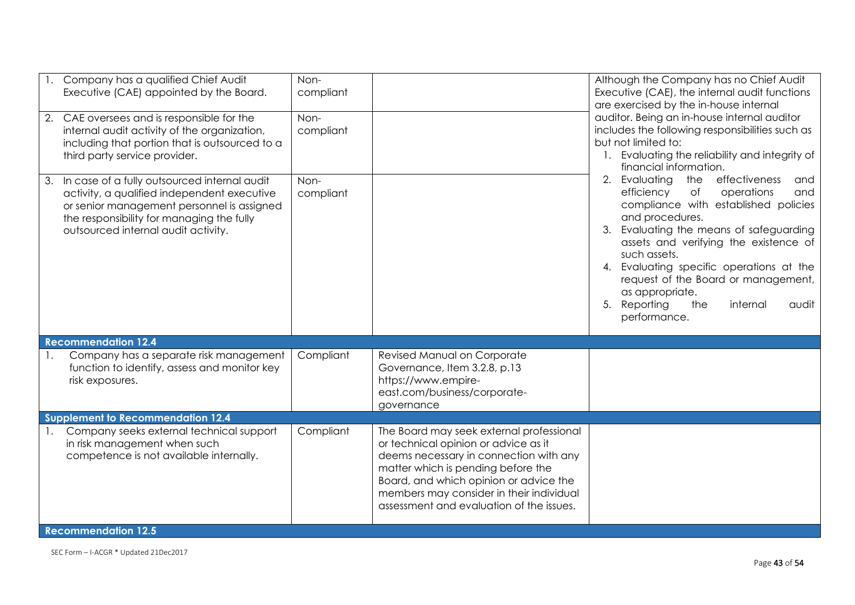| 1. Company has a qualified Chief Audit<br>Executive (CAE) appointed by the Board.<br>2. CAE oversees and is responsible for the<br>internal audit activity of the organization,<br>including that portion that is outsourced to a<br>third party service provider. | Non-<br>compliant<br>Non-<br>compliant |                                                                                                                                                                                                                                                                                                    | Although the Company has no Chief Audit<br>Executive (CAE), the internal audit functions<br>are exercised by the in-house internal<br>auditor. Being an in-house internal auditor<br>includes the following responsibilities such as<br>but not limited to:<br>1. Evaluating the reliability and integrity of<br>financial information.<br>Evaluating<br>effectiveness<br>2.<br>the<br>and<br>operations<br>efficiency<br>of<br>and<br>compliance with established policies<br>and procedures.<br>Evaluating the means of safeguarding<br>3.<br>assets and verifying the existence of<br>such assets.<br>Evaluating specific operations at the<br>4.<br>request of the Board or management,<br>as appropriate.<br>Reporting<br>5.<br>the<br>internal<br>audit<br>performance. |
|--------------------------------------------------------------------------------------------------------------------------------------------------------------------------------------------------------------------------------------------------------------------|----------------------------------------|----------------------------------------------------------------------------------------------------------------------------------------------------------------------------------------------------------------------------------------------------------------------------------------------------|-------------------------------------------------------------------------------------------------------------------------------------------------------------------------------------------------------------------------------------------------------------------------------------------------------------------------------------------------------------------------------------------------------------------------------------------------------------------------------------------------------------------------------------------------------------------------------------------------------------------------------------------------------------------------------------------------------------------------------------------------------------------------------|
| 3. In case of a fully outsourced internal audit<br>activity, a qualified independent executive<br>or senior management personnel is assigned<br>the responsibility for managing the fully<br>outsourced internal audit activity.                                   | Non-<br>compliant                      |                                                                                                                                                                                                                                                                                                    |                                                                                                                                                                                                                                                                                                                                                                                                                                                                                                                                                                                                                                                                                                                                                                               |
| <b>Recommendation 12.4</b>                                                                                                                                                                                                                                         |                                        |                                                                                                                                                                                                                                                                                                    |                                                                                                                                                                                                                                                                                                                                                                                                                                                                                                                                                                                                                                                                                                                                                                               |
| Company has a separate risk management<br>1.<br>function to identify, assess and monitor key<br>risk exposures.<br><b>Supplement to Recommendation 12.4</b>                                                                                                        | Compliant                              | Revised Manual on Corporate<br>Governance, Item 3.2.8, p.13<br>https://www.empire-<br>east.com/business/corporate-<br>governance                                                                                                                                                                   |                                                                                                                                                                                                                                                                                                                                                                                                                                                                                                                                                                                                                                                                                                                                                                               |
| Company seeks external technical support<br>in risk management when such<br>competence is not available internally.<br><b>Recommendation 12.5</b>                                                                                                                  | Compliant                              | The Board may seek external professional<br>or technical opinion or advice as it<br>deems necessary in connection with any<br>matter which is pending before the<br>Board, and which opinion or advice the<br>members may consider in their individual<br>assessment and evaluation of the issues. |                                                                                                                                                                                                                                                                                                                                                                                                                                                                                                                                                                                                                                                                                                                                                                               |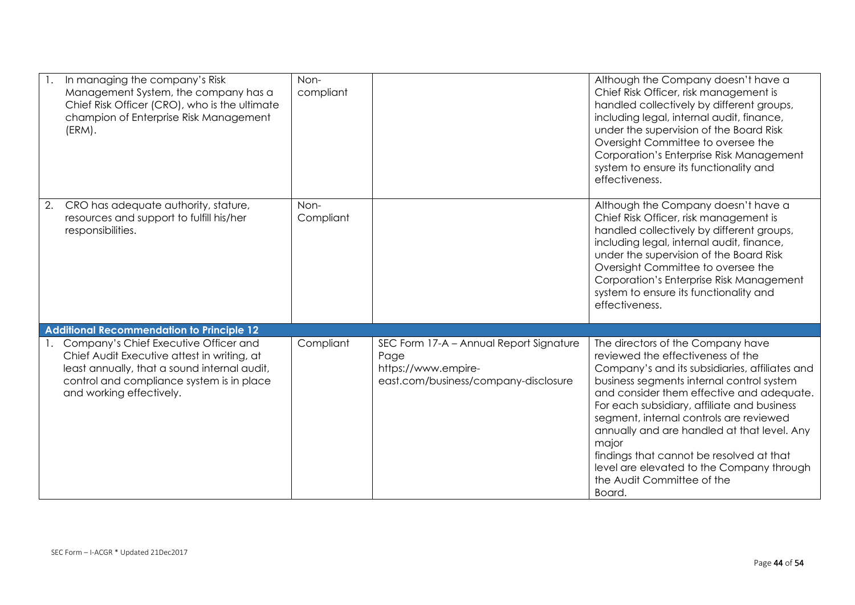| In managing the company's Risk<br>Management System, the company has a<br>Chief Risk Officer (CRO), who is the ultimate<br>champion of Enterprise Risk Management<br>(ERM).                                   | Non-<br>compliant |                                                                                                                | Although the Company doesn't have a<br>Chief Risk Officer, risk management is<br>handled collectively by different groups,<br>including legal, internal audit, finance,<br>under the supervision of the Board Risk<br>Oversight Committee to oversee the<br>Corporation's Enterprise Risk Management<br>system to ensure its functionality and<br>effectiveness.                                                                                                                                      |
|---------------------------------------------------------------------------------------------------------------------------------------------------------------------------------------------------------------|-------------------|----------------------------------------------------------------------------------------------------------------|-------------------------------------------------------------------------------------------------------------------------------------------------------------------------------------------------------------------------------------------------------------------------------------------------------------------------------------------------------------------------------------------------------------------------------------------------------------------------------------------------------|
| CRO has adequate authority, stature,<br>2.<br>resources and support to fulfill his/her<br>responsibilities.                                                                                                   | Non-<br>Compliant |                                                                                                                | Although the Company doesn't have a<br>Chief Risk Officer, risk management is<br>handled collectively by different groups,<br>including legal, internal audit, finance,<br>under the supervision of the Board Risk<br>Oversight Committee to oversee the<br>Corporation's Enterprise Risk Management<br>system to ensure its functionality and<br>effectiveness.                                                                                                                                      |
| <b>Additional Recommendation to Principle 12</b>                                                                                                                                                              |                   |                                                                                                                |                                                                                                                                                                                                                                                                                                                                                                                                                                                                                                       |
| Company's Chief Executive Officer and<br>Chief Audit Executive attest in writing, at<br>least annually, that a sound internal audit,<br>control and compliance system is in place<br>and working effectively. | Compliant         | SEC Form 17-A - Annual Report Signature<br>Page<br>https://www.empire-<br>east.com/business/company-disclosure | The directors of the Company have<br>reviewed the effectiveness of the<br>Company's and its subsidiaries, affiliates and<br>business segments internal control system<br>and consider them effective and adequate.<br>For each subsidiary, affiliate and business<br>segment, internal controls are reviewed<br>annually and are handled at that level. Any<br>major<br>findings that cannot be resolved at that<br>level are elevated to the Company through<br>the Audit Committee of the<br>Board. |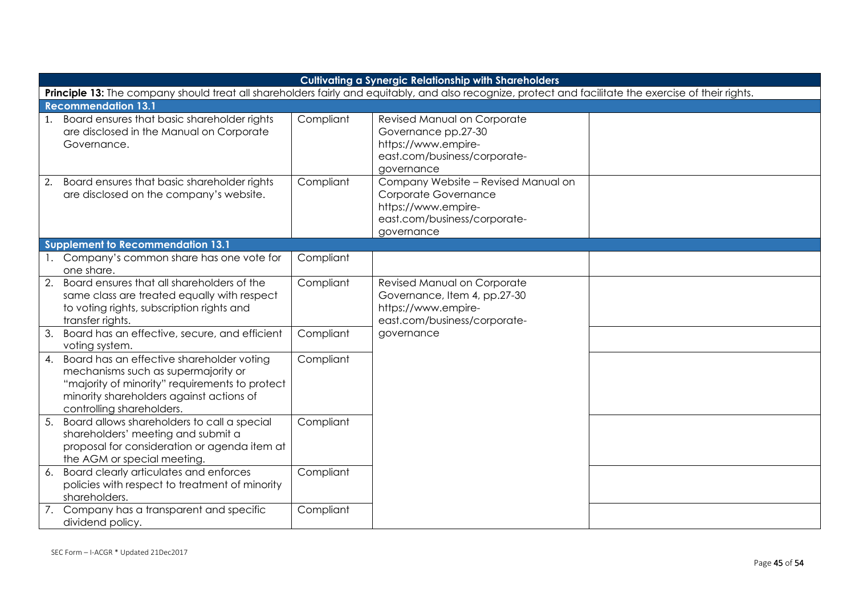| <b>Cultivating a Synergic Relationship with Shareholders</b>                                                                                                                                                   |           |                                                                                                                                  |  |  |
|----------------------------------------------------------------------------------------------------------------------------------------------------------------------------------------------------------------|-----------|----------------------------------------------------------------------------------------------------------------------------------|--|--|
| Principle 13: The company should treat all shareholders fairly and equitably, and also recognize, protect and facilitate the exercise of their rights.                                                         |           |                                                                                                                                  |  |  |
| <b>Recommendation 13.1</b>                                                                                                                                                                                     |           |                                                                                                                                  |  |  |
| 1. Board ensures that basic shareholder rights<br>are disclosed in the Manual on Corporate<br>Governance.                                                                                                      | Compliant | Revised Manual on Corporate<br>Governance pp.27-30<br>https://www.empire-<br>east.com/business/corporate-<br>governance          |  |  |
| 2. Board ensures that basic shareholder rights<br>are disclosed on the company's website.                                                                                                                      | Compliant | Company Website - Revised Manual on<br>Corporate Governance<br>https://www.empire-<br>east.com/business/corporate-<br>governance |  |  |
| <b>Supplement to Recommendation 13.1</b>                                                                                                                                                                       |           |                                                                                                                                  |  |  |
| 1. Company's common share has one vote for<br>one share.                                                                                                                                                       | Compliant |                                                                                                                                  |  |  |
| 2. Board ensures that all shareholders of the<br>same class are treated equally with respect<br>to voting rights, subscription rights and<br>transfer rights.                                                  | Compliant | Revised Manual on Corporate<br>Governance, Item 4, pp.27-30<br>https://www.empire-<br>east.com/business/corporate-               |  |  |
| Board has an effective, secure, and efficient<br>3.<br>voting system.                                                                                                                                          | Compliant | governance                                                                                                                       |  |  |
| 4. Board has an effective shareholder voting<br>mechanisms such as supermajority or<br>"majority of minority" requirements to protect<br>minority shareholders against actions of<br>controlling shareholders. | Compliant |                                                                                                                                  |  |  |
| Board allows shareholders to call a special<br>5.<br>shareholders' meeting and submit a<br>proposal for consideration or agenda item at<br>the AGM or special meeting.                                         | Compliant |                                                                                                                                  |  |  |
| 6. Board clearly articulates and enforces<br>policies with respect to treatment of minority<br>shareholders.                                                                                                   | Compliant |                                                                                                                                  |  |  |
| 7. Company has a transparent and specific<br>dividend policy.                                                                                                                                                  | Compliant |                                                                                                                                  |  |  |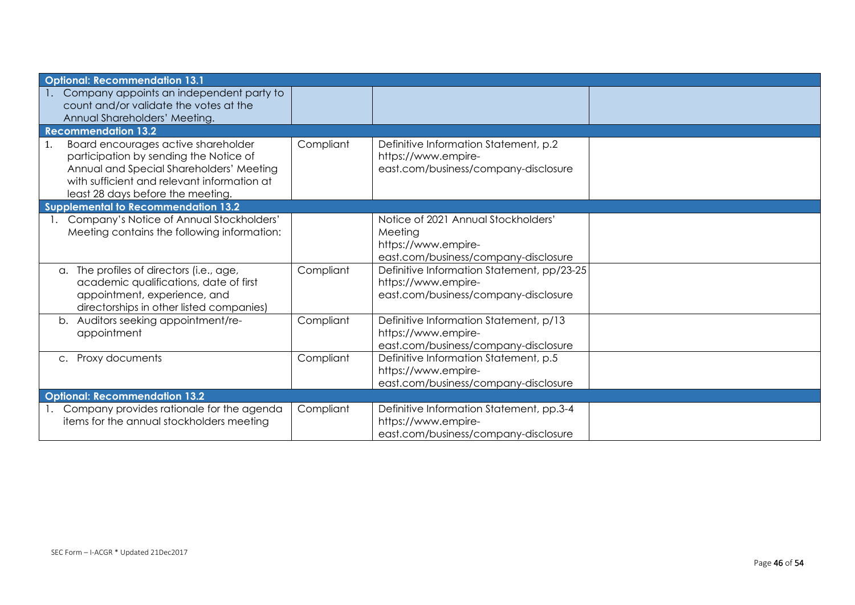| <b>Optional: Recommendation 13.1</b>                                                                                                                                                                                |           |                                                                                                               |  |
|---------------------------------------------------------------------------------------------------------------------------------------------------------------------------------------------------------------------|-----------|---------------------------------------------------------------------------------------------------------------|--|
| Company appoints an independent party to                                                                                                                                                                            |           |                                                                                                               |  |
| count and/or validate the votes at the<br>Annual Shareholders' Meeting.                                                                                                                                             |           |                                                                                                               |  |
| <b>Recommendation 13.2</b>                                                                                                                                                                                          |           |                                                                                                               |  |
| Board encourages active shareholder<br>1.<br>participation by sending the Notice of<br>Annual and Special Shareholders' Meeting<br>with sufficient and relevant information at<br>least 28 days before the meeting. | Compliant | Definitive Information Statement, p.2<br>https://www.empire-<br>east.com/business/company-disclosure          |  |
| <b>Supplemental to Recommendation 13.2</b>                                                                                                                                                                          |           |                                                                                                               |  |
| Company's Notice of Annual Stockholders'<br>Meeting contains the following information:                                                                                                                             |           | Notice of 2021 Annual Stockholders'<br>Meeting<br>https://www.empire-<br>east.com/business/company-disclosure |  |
| a. The profiles of directors (i.e., age,<br>academic qualifications, date of first<br>appointment, experience, and<br>directorships in other listed companies)                                                      | Compliant | Definitive Information Statement, pp/23-25<br>https://www.empire-<br>east.com/business/company-disclosure     |  |
| Auditors seeking appointment/re-<br>b.<br>appointment                                                                                                                                                               | Compliant | Definitive Information Statement, p/13<br>https://www.empire-<br>east.com/business/company-disclosure         |  |
| Proxy documents<br>$C_{\bullet}$                                                                                                                                                                                    | Compliant | Definitive Information Statement, p.5<br>https://www.empire-<br>east.com/business/company-disclosure          |  |
| <b>Optional: Recommendation 13.2</b>                                                                                                                                                                                |           |                                                                                                               |  |
| Company provides rationale for the agenda<br>items for the annual stockholders meeting                                                                                                                              | Compliant | Definitive Information Statement, pp.3-4<br>https://www.empire-<br>east.com/business/company-disclosure       |  |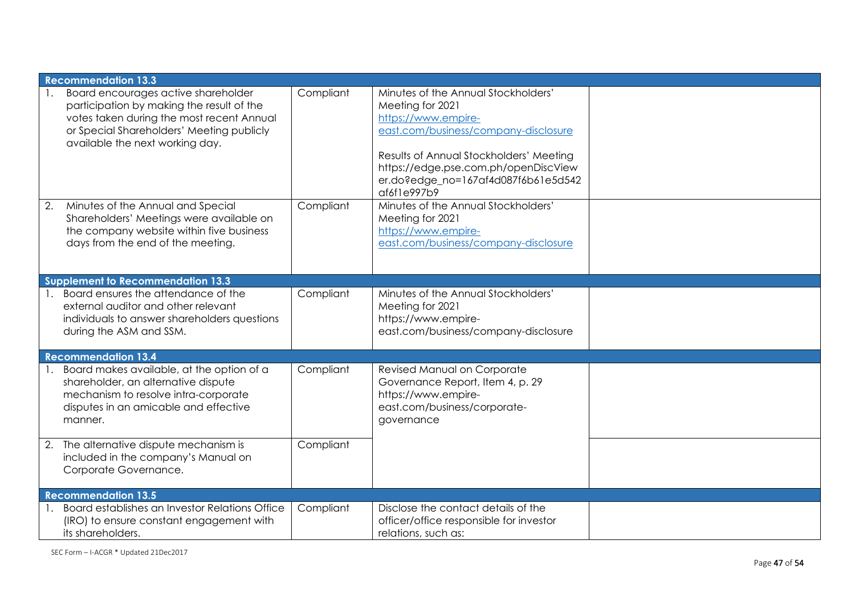|    | <b>Recommendation 13.3</b>                                                                                                                                                                                    |           |                                                                                                                                                                                                                                                                 |  |
|----|---------------------------------------------------------------------------------------------------------------------------------------------------------------------------------------------------------------|-----------|-----------------------------------------------------------------------------------------------------------------------------------------------------------------------------------------------------------------------------------------------------------------|--|
|    | Board encourages active shareholder<br>participation by making the result of the<br>votes taken during the most recent Annual<br>or Special Shareholders' Meeting publicly<br>available the next working day. | Compliant | Minutes of the Annual Stockholders'<br>Meeting for 2021<br>https://www.empire-<br>east.com/business/company-disclosure<br>Results of Annual Stockholders' Meeting<br>https://edge.pse.com.ph/openDiscView<br>er.do?edge_no=167af4d087f6b61e5d542<br>af6f1e997b9 |  |
| 2. | Minutes of the Annual and Special<br>Shareholders' Meetings were available on<br>the company website within five business<br>days from the end of the meeting.                                                | Compliant | Minutes of the Annual Stockholders'<br>Meeting for 2021<br>https://www.empire-<br>east.com/business/company-disclosure                                                                                                                                          |  |
|    | <b>Supplement to Recommendation 13.3</b>                                                                                                                                                                      |           |                                                                                                                                                                                                                                                                 |  |
|    | Board ensures the attendance of the<br>external auditor and other relevant<br>individuals to answer shareholders questions<br>during the ASM and SSM.                                                         | Compliant | Minutes of the Annual Stockholders'<br>Meeting for 2021<br>https://www.empire-<br>east.com/business/company-disclosure                                                                                                                                          |  |
|    | <b>Recommendation 13.4</b>                                                                                                                                                                                    |           |                                                                                                                                                                                                                                                                 |  |
|    | Board makes available, at the option of a<br>shareholder, an alternative dispute<br>mechanism to resolve intra-corporate<br>disputes in an amicable and effective<br>manner.                                  | Compliant | Revised Manual on Corporate<br>Governance Report, Item 4, p. 29<br>https://www.empire-<br>east.com/business/corporate-<br>governance                                                                                                                            |  |
|    | 2. The alternative dispute mechanism is<br>included in the company's Manual on<br>Corporate Governance.                                                                                                       | Compliant |                                                                                                                                                                                                                                                                 |  |
|    | <b>Recommendation 13.5</b>                                                                                                                                                                                    |           |                                                                                                                                                                                                                                                                 |  |
|    | Board establishes an Investor Relations Office<br>(IRO) to ensure constant engagement with<br>its shareholders.                                                                                               | Compliant | Disclose the contact details of the<br>officer/office responsible for investor<br>relations, such as:                                                                                                                                                           |  |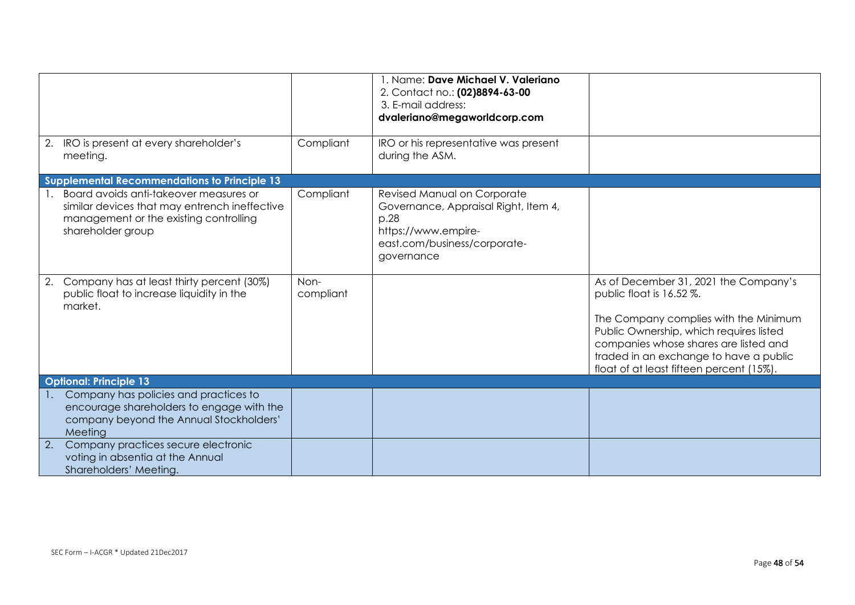|                                                                                                                                                        |                   | 1. Name: Dave Michael V. Valeriano<br>2. Contact no.: (02)8894-63-00<br>3. E-mail address:<br>dvaleriano@megaworldcorp.com                       |                                                                                                                                                                                                                                                                                      |
|--------------------------------------------------------------------------------------------------------------------------------------------------------|-------------------|--------------------------------------------------------------------------------------------------------------------------------------------------|--------------------------------------------------------------------------------------------------------------------------------------------------------------------------------------------------------------------------------------------------------------------------------------|
| 2. IRO is present at every shareholder's<br>meeting.                                                                                                   | Compliant         | IRO or his representative was present<br>during the ASM.                                                                                         |                                                                                                                                                                                                                                                                                      |
| <b>Supplemental Recommendations to Principle 13</b>                                                                                                    |                   |                                                                                                                                                  |                                                                                                                                                                                                                                                                                      |
| Board avoids anti-takeover measures or<br>similar devices that may entrench ineffective<br>management or the existing controlling<br>shareholder group | Compliant         | Revised Manual on Corporate<br>Governance, Appraisal Right, Item 4,<br>p.28<br>https://www.empire-<br>east.com/business/corporate-<br>governance |                                                                                                                                                                                                                                                                                      |
| 2. Company has at least thirty percent (30%)<br>public float to increase liquidity in the<br>market.                                                   | Non-<br>compliant |                                                                                                                                                  | As of December 31, 2021 the Company's<br>public float is 16.52 %.<br>The Company complies with the Minimum<br>Public Ownership, which requires listed<br>companies whose shares are listed and<br>traded in an exchange to have a public<br>float of at least fifteen percent (15%). |
| <b>Optional: Principle 13</b>                                                                                                                          |                   |                                                                                                                                                  |                                                                                                                                                                                                                                                                                      |
| Company has policies and practices to<br>encourage shareholders to engage with the<br>company beyond the Annual Stockholders'<br>Meeting               |                   |                                                                                                                                                  |                                                                                                                                                                                                                                                                                      |
| 2.<br>Company practices secure electronic<br>voting in absentia at the Annual<br>Shareholders' Meeting.                                                |                   |                                                                                                                                                  |                                                                                                                                                                                                                                                                                      |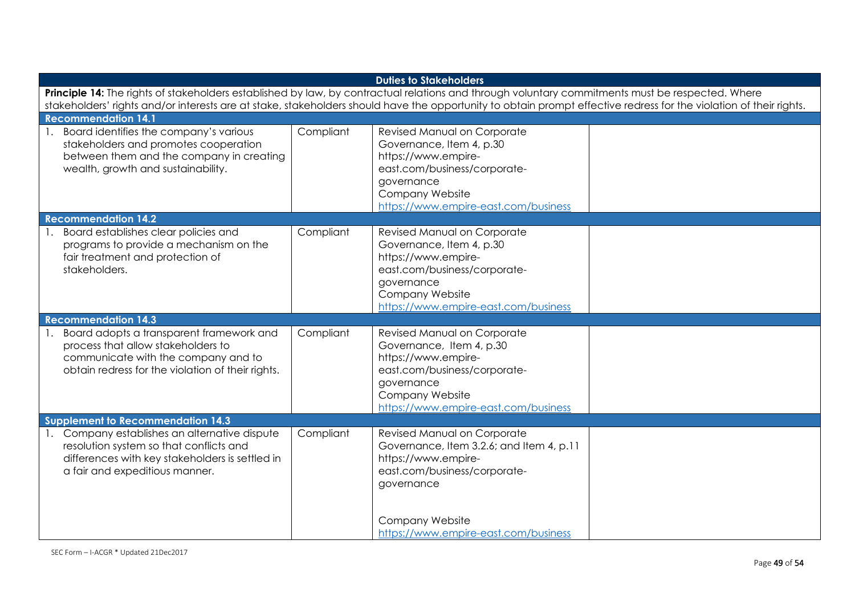| <b>Duties to Stakeholders</b>                                                                                                                                      |           |                                                                 |  |  |
|--------------------------------------------------------------------------------------------------------------------------------------------------------------------|-----------|-----------------------------------------------------------------|--|--|
| Principle 14: The rights of stakeholders established by law, by contractual relations and through voluntary commitments must be respected. Where                   |           |                                                                 |  |  |
| stakeholders' rights and/or interests are at stake, stakeholders should have the opportunity to obtain prompt effective redress for the violation of their rights. |           |                                                                 |  |  |
| <b>Recommendation 14.1</b>                                                                                                                                         |           |                                                                 |  |  |
| Board identifies the company's various<br>stakeholders and promotes cooperation                                                                                    | Compliant | <b>Revised Manual on Corporate</b><br>Governance, Item 4, p.30  |  |  |
| between them and the company in creating                                                                                                                           |           | https://www.empire-                                             |  |  |
| wealth, growth and sustainability.                                                                                                                                 |           | east.com/business/corporate-                                    |  |  |
|                                                                                                                                                                    |           | governance                                                      |  |  |
|                                                                                                                                                                    |           | <b>Company Website</b>                                          |  |  |
|                                                                                                                                                                    |           | https://www.empire-east.com/business                            |  |  |
| <b>Recommendation 14.2</b>                                                                                                                                         |           |                                                                 |  |  |
| Board establishes clear policies and                                                                                                                               | Compliant | Revised Manual on Corporate                                     |  |  |
| programs to provide a mechanism on the                                                                                                                             |           | Governance, Item 4, p.30                                        |  |  |
| fair treatment and protection of                                                                                                                                   |           | https://www.empire-                                             |  |  |
| stakeholders.                                                                                                                                                      |           | east.com/business/corporate-                                    |  |  |
|                                                                                                                                                                    |           | governance<br>Company Website                                   |  |  |
|                                                                                                                                                                    |           | https://www.empire-east.com/business                            |  |  |
| <b>Recommendation 14.3</b>                                                                                                                                         |           |                                                                 |  |  |
| Board adopts a transparent framework and                                                                                                                           | Compliant | Revised Manual on Corporate                                     |  |  |
| process that allow stakeholders to                                                                                                                                 |           | Governance, Item 4, p.30                                        |  |  |
| communicate with the company and to                                                                                                                                |           | https://www.empire-                                             |  |  |
| obtain redress for the violation of their rights.                                                                                                                  |           | east.com/business/corporate-                                    |  |  |
|                                                                                                                                                                    |           | governance                                                      |  |  |
|                                                                                                                                                                    |           | Company Website                                                 |  |  |
|                                                                                                                                                                    |           | https://www.empire-east.com/business                            |  |  |
| <b>Supplement to Recommendation 14.3</b>                                                                                                                           |           |                                                                 |  |  |
| Company establishes an alternative dispute                                                                                                                         | Compliant | Revised Manual on Corporate                                     |  |  |
| resolution system so that conflicts and<br>differences with key stakeholders is settled in                                                                         |           | Governance, Item 3.2.6; and Item 4, p.11<br>https://www.empire- |  |  |
| a fair and expeditious manner.                                                                                                                                     |           | east.com/business/corporate-                                    |  |  |
|                                                                                                                                                                    |           | governance                                                      |  |  |
|                                                                                                                                                                    |           |                                                                 |  |  |
|                                                                                                                                                                    |           | <b>Company Website</b>                                          |  |  |
|                                                                                                                                                                    |           | https://www.empire-east.com/business                            |  |  |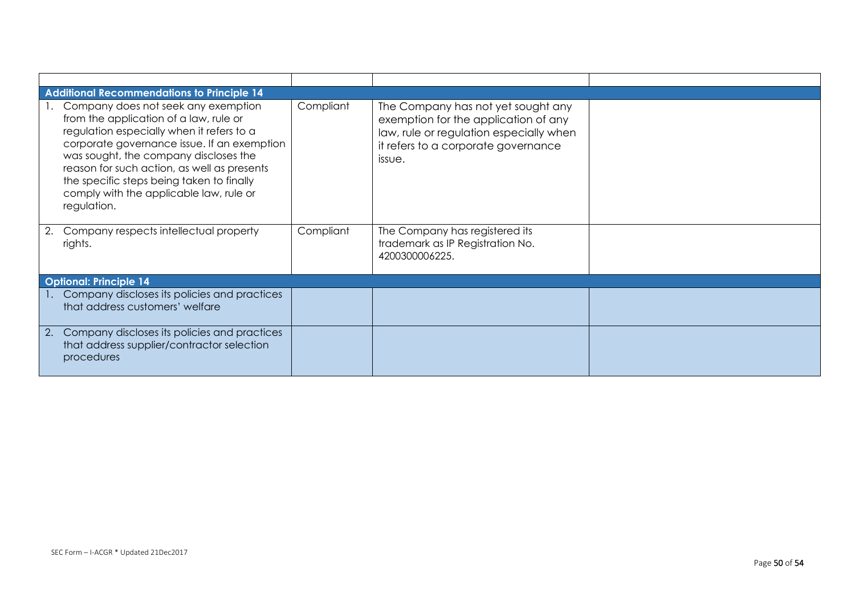|            | Additional Recommendations to Principle 14                                                                                                                                                                                                                                                                                                                               |           |                                                                                                                                                                        |  |
|------------|--------------------------------------------------------------------------------------------------------------------------------------------------------------------------------------------------------------------------------------------------------------------------------------------------------------------------------------------------------------------------|-----------|------------------------------------------------------------------------------------------------------------------------------------------------------------------------|--|
|            | Company does not seek any exemption<br>from the application of a law, rule or<br>regulation especially when it refers to a<br>corporate governance issue. If an exemption<br>was sought, the company discloses the<br>reason for such action, as well as presents<br>the specific steps being taken to finally<br>comply with the applicable law, rule or<br>regulation. | Compliant | The Company has not yet sought any<br>exemption for the application of any<br>law, rule or regulation especially when<br>it refers to a corporate governance<br>issue. |  |
| 2.         | Company respects intellectual property<br>rights.                                                                                                                                                                                                                                                                                                                        | Compliant | The Company has registered its<br>trademark as IP Registration No.<br>4200300006225.                                                                                   |  |
|            | <b>Optional: Principle 14</b>                                                                                                                                                                                                                                                                                                                                            |           |                                                                                                                                                                        |  |
|            | 1. Company discloses its policies and practices<br>that address customers' welfare                                                                                                                                                                                                                                                                                       |           |                                                                                                                                                                        |  |
| $\cdot$ 2. | Company discloses its policies and practices<br>that address supplier/contractor selection<br>procedures                                                                                                                                                                                                                                                                 |           |                                                                                                                                                                        |  |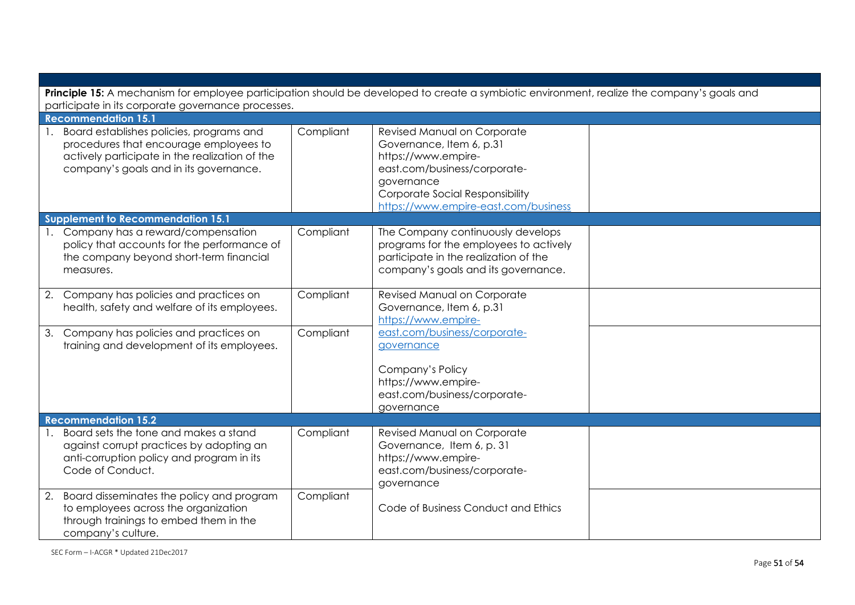| Principle 15: A mechanism for employee participation should be developed to create a symbiotic environment, realize the company's goals and                                       |           |                                                                                                                                                                                                                |  |  |
|-----------------------------------------------------------------------------------------------------------------------------------------------------------------------------------|-----------|----------------------------------------------------------------------------------------------------------------------------------------------------------------------------------------------------------------|--|--|
| participate in its corporate governance processes.<br><b>Recommendation 15.1</b>                                                                                                  |           |                                                                                                                                                                                                                |  |  |
| 1. Board establishes policies, programs and<br>procedures that encourage employees to<br>actively participate in the realization of the<br>company's goals and in its governance. | Compliant | Revised Manual on Corporate<br>Governance, Item 6, p.31<br>https://www.empire-<br>east.com/business/corporate-<br>governance<br><b>Corporate Social Responsibility</b><br>https://www.empire-east.com/business |  |  |
| <b>Supplement to Recommendation 15.1</b>                                                                                                                                          |           |                                                                                                                                                                                                                |  |  |
| 1. Company has a reward/compensation<br>policy that accounts for the performance of<br>the company beyond short-term financial<br>measures.                                       | Compliant | The Company continuously develops<br>programs for the employees to actively<br>participate in the realization of the<br>company's goals and its governance.                                                    |  |  |
| 2. Company has policies and practices on<br>health, safety and welfare of its employees.                                                                                          | Compliant | Revised Manual on Corporate<br>Governance, Item 6, p.31<br>https://www.empire-                                                                                                                                 |  |  |
| 3. Company has policies and practices on<br>training and development of its employees.                                                                                            | Compliant | east.com/business/corporate-<br>governance                                                                                                                                                                     |  |  |
|                                                                                                                                                                                   |           | Company's Policy<br>https://www.empire-<br>east.com/business/corporate-<br>governance                                                                                                                          |  |  |
| <b>Recommendation 15.2</b>                                                                                                                                                        |           |                                                                                                                                                                                                                |  |  |
| Board sets the tone and makes a stand<br>against corrupt practices by adopting an<br>anti-corruption policy and program in its<br>Code of Conduct.                                | Compliant | Revised Manual on Corporate<br>Governance, Item 6, p. 31<br>https://www.empire-<br>east.com/business/corporate-<br>governance                                                                                  |  |  |
| 2. Board disseminates the policy and program<br>to employees across the organization<br>through trainings to embed them in the<br>company's culture.                              | Compliant | Code of Business Conduct and Ethics                                                                                                                                                                            |  |  |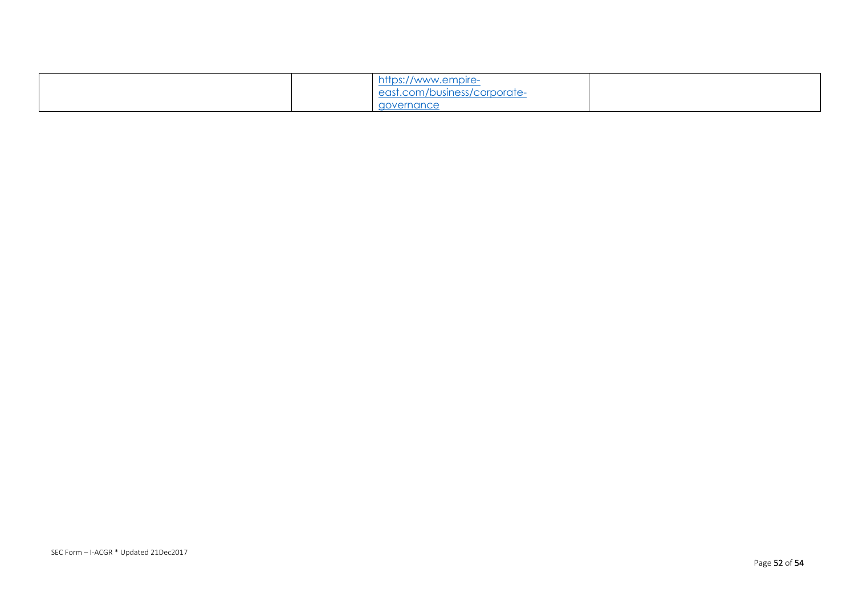|  | https://<br>//www.empire-           |  |
|--|-------------------------------------|--|
|  | <u>east.com/business/corporate-</u> |  |
|  | governance                          |  |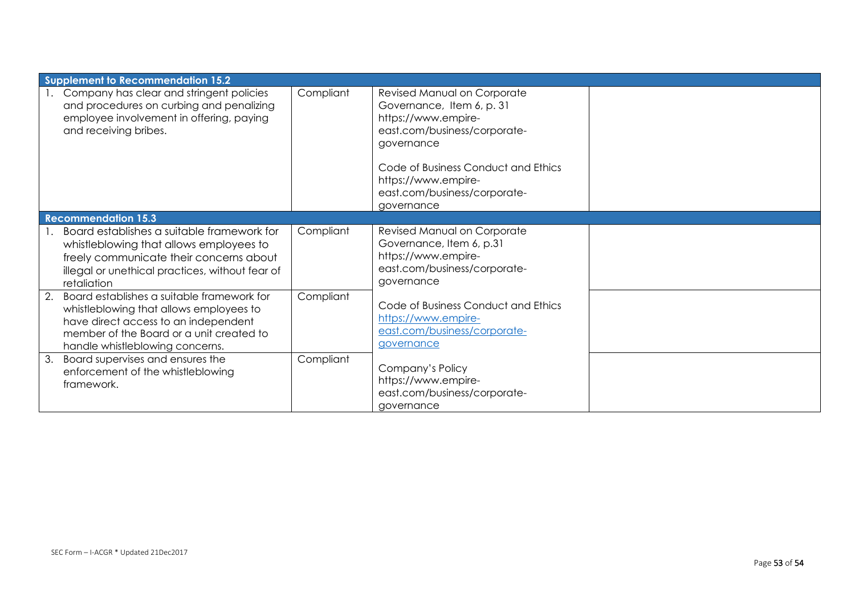| <b>Supplement to Recommendation 15.2</b>                                                                                                                                                                           |           |                                                                                                                                                                                                                                           |  |
|--------------------------------------------------------------------------------------------------------------------------------------------------------------------------------------------------------------------|-----------|-------------------------------------------------------------------------------------------------------------------------------------------------------------------------------------------------------------------------------------------|--|
| Company has clear and stringent policies<br>and procedures on curbing and penalizing<br>employee involvement in offering, paying<br>and receiving bribes.                                                          | Compliant | Revised Manual on Corporate<br>Governance, Item 6, p. 31<br>https://www.empire-<br>east.com/business/corporate-<br>governance<br>Code of Business Conduct and Ethics<br>https://www.empire-<br>east.com/business/corporate-<br>governance |  |
| <b>Recommendation 15.3</b>                                                                                                                                                                                         |           |                                                                                                                                                                                                                                           |  |
| Board establishes a suitable framework for<br>whistleblowing that allows employees to<br>freely communicate their concerns about<br>illegal or unethical practices, without fear of<br>retaliation                 | Compliant | Revised Manual on Corporate<br>Governance, Item 6, p.31<br>https://www.empire-<br>east.com/business/corporate-<br>governance                                                                                                              |  |
| Board establishes a suitable framework for<br>2.<br>whistleblowing that allows employees to<br>have direct access to an independent<br>member of the Board or a unit created to<br>handle whistleblowing concerns. | Compliant | Code of Business Conduct and Ethics<br>https://www.empire-<br>east.com/business/corporate-<br>governance                                                                                                                                  |  |
| Board supervises and ensures the<br>3.<br>enforcement of the whistleblowing<br>framework.                                                                                                                          | Compliant | Company's Policy<br>https://www.empire-<br>east.com/business/corporate-<br>governance                                                                                                                                                     |  |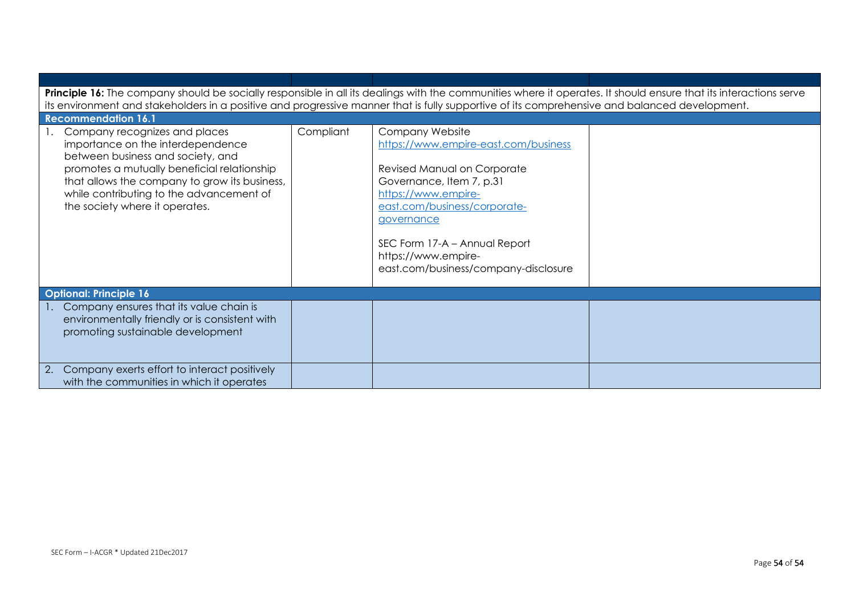| Principle 16: The company should be socially responsible in all its dealings with the communities where it operates. It should ensure that its interactions serve<br>its environment and stakeholders in a positive and progressive manner that is fully supportive of its comprehensive and balanced development. |           |                                                                                                                                                                                                                                                                                         |  |  |
|--------------------------------------------------------------------------------------------------------------------------------------------------------------------------------------------------------------------------------------------------------------------------------------------------------------------|-----------|-----------------------------------------------------------------------------------------------------------------------------------------------------------------------------------------------------------------------------------------------------------------------------------------|--|--|
| <b>Recommendation 16.1</b>                                                                                                                                                                                                                                                                                         |           |                                                                                                                                                                                                                                                                                         |  |  |
| Company recognizes and places<br>importance on the interdependence<br>between business and society, and<br>promotes a mutually beneficial relationship<br>that allows the company to grow its business,<br>while contributing to the advancement of<br>the society where it operates.                              | Compliant | Company Website<br>https://www.empire-east.com/business<br>Revised Manual on Corporate<br>Governance, Item 7, p.31<br>https://www.empire-<br>east.com/business/corporate-<br>governance<br>SEC Form 17-A - Annual Report<br>https://www.empire-<br>east.com/business/company-disclosure |  |  |
| <b>Optional: Principle 16</b>                                                                                                                                                                                                                                                                                      |           |                                                                                                                                                                                                                                                                                         |  |  |
| Company ensures that its value chain is<br>environmentally friendly or is consistent with<br>promoting sustainable development                                                                                                                                                                                     |           |                                                                                                                                                                                                                                                                                         |  |  |
| Company exerts effort to interact positively<br>2.<br>with the communities in which it operates                                                                                                                                                                                                                    |           |                                                                                                                                                                                                                                                                                         |  |  |